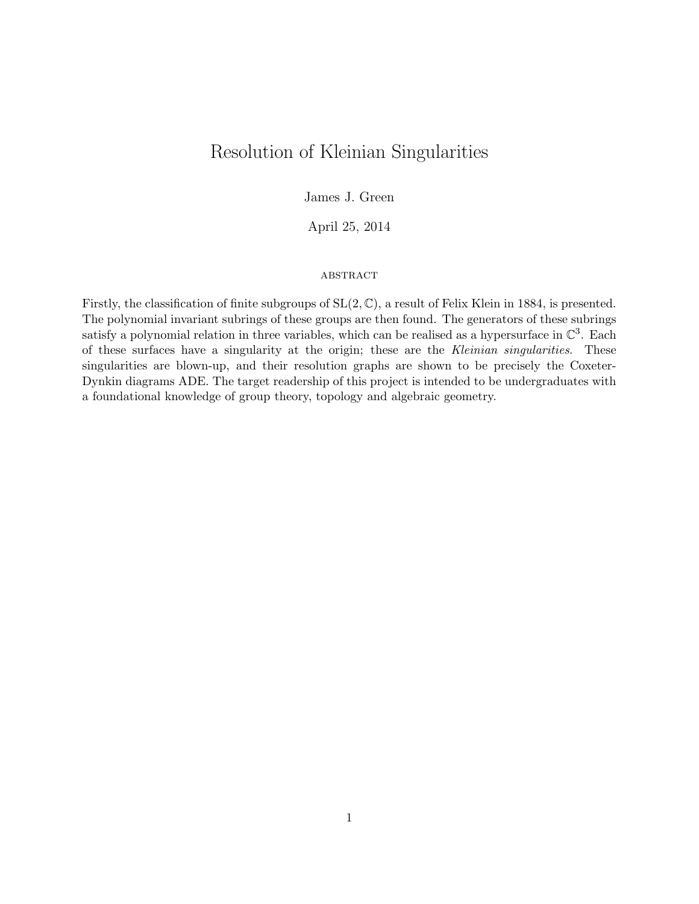# Resolution of Kleinian Singularities

## James J. Green

April 25, 2014

#### **ABSTRACT**

Firstly, the classification of finite subgroups of  $SL(2, \mathbb{C})$ , a result of Felix Klein in 1884, is presented. The polynomial invariant subrings of these groups are then found. The generators of these subrings satisfy a polynomial relation in three variables, which can be realised as a hypersurface in  $\mathbb{C}^3$ . Each of these surfaces have a singularity at the origin; these are the Kleinian singularities. These singularities are blown-up, and their resolution graphs are shown to be precisely the Coxeter-Dynkin diagrams ADE. The target readership of this project is intended to be undergraduates with a foundational knowledge of group theory, topology and algebraic geometry.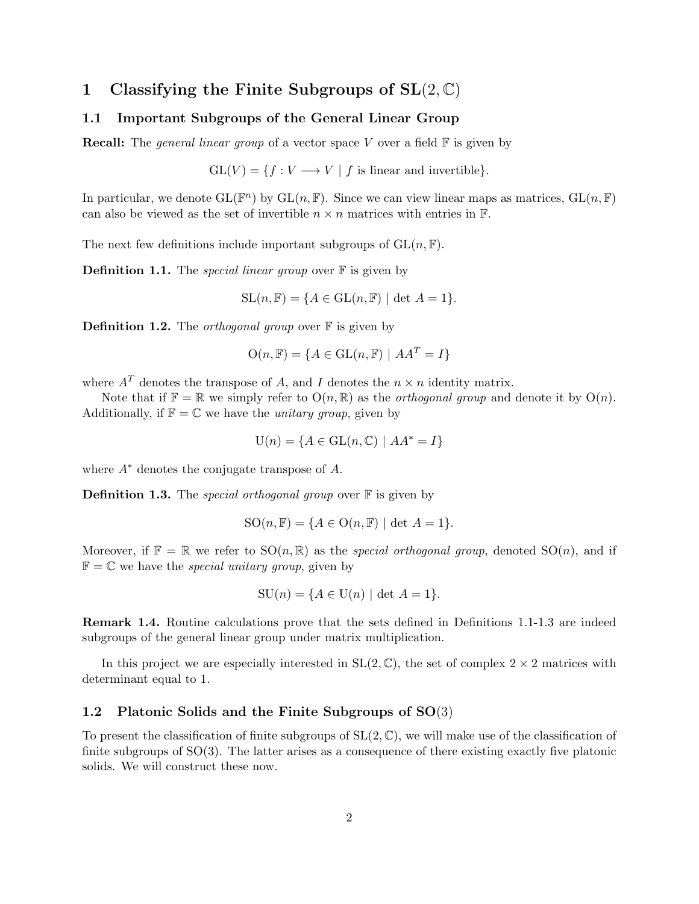## 1 Classifying the Finite Subgroups of  $SL(2, \mathbb{C})$

## 1.1 Important Subgroups of the General Linear Group

**Recall:** The *general linear group* of a vector space V over a field  $\mathbb{F}$  is given by

 $GL(V) = \{f: V \longrightarrow V \mid f \text{ is linear and invertible}\}.$ 

In particular, we denote  $GL(\mathbb{F}^n)$  by  $GL(n,\mathbb{F})$ . Since we can view linear maps as matrices,  $GL(n,\mathbb{F})$ can also be viewed as the set of invertible  $n \times n$  matrices with entries in  $\mathbb{F}$ .

The next few definitions include important subgroups of  $GL(n, \mathbb{F})$ .

**Definition 1.1.** The *special linear group* over  $\mathbb{F}$  is given by

 $\mathrm{SL}(n,\mathbb{F}) = \{A \in \mathrm{GL}(n,\mathbb{F}) \mid \det A = 1\}.$ 

**Definition 1.2.** The *orthogonal group* over  $\mathbb{F}$  is given by

$$
O(n, F) = \{ A \in GL(n, F) \mid AA^T = I \}
$$

where  $A<sup>T</sup>$  denotes the transpose of A, and I denotes the  $n \times n$  identity matrix.

Note that if  $\mathbb{F} = \mathbb{R}$  we simply refer to  $O(n, \mathbb{R})$  as the *orthogonal group* and denote it by  $O(n)$ . Additionally, if  $\mathbb{F} = \mathbb{C}$  we have the *unitary group*, given by

$$
U(n) = \{ A \in GL(n, \mathbb{C}) \mid AA^* = I \}
$$

where  $A^*$  denotes the conjugate transpose of  $A$ .

**Definition 1.3.** The *special orthogonal group* over  $\mathbb{F}$  is given by

$$
SO(n, \mathbb{F}) = \{ A \in O(n, \mathbb{F}) \mid \det A = 1 \}.
$$

Moreover, if  $\mathbb{F} = \mathbb{R}$  we refer to  $SO(n, \mathbb{R})$  as the *special orthogonal group*, denoted  $SO(n)$ , and if  $\mathbb{F} = \mathbb{C}$  we have the *special unitary group*, given by

$$
SU(n) = \{A \in U(n) \mid \det A = 1\}.
$$

Remark 1.4. Routine calculations prove that the sets defined in Definitions 1.1-1.3 are indeed subgroups of the general linear group under matrix multiplication.

In this project we are especially interested in  $SL(2,\mathbb{C})$ , the set of complex  $2 \times 2$  matrices with determinant equal to 1.

#### 1.2 Platonic Solids and the Finite Subgroups of SO(3)

To present the classification of finite subgroups of  $SL(2, \mathbb{C})$ , we will make use of the classification of finite subgroups of  $SO(3)$ . The latter arises as a consequence of there existing exactly five platonic solids. We will construct these now.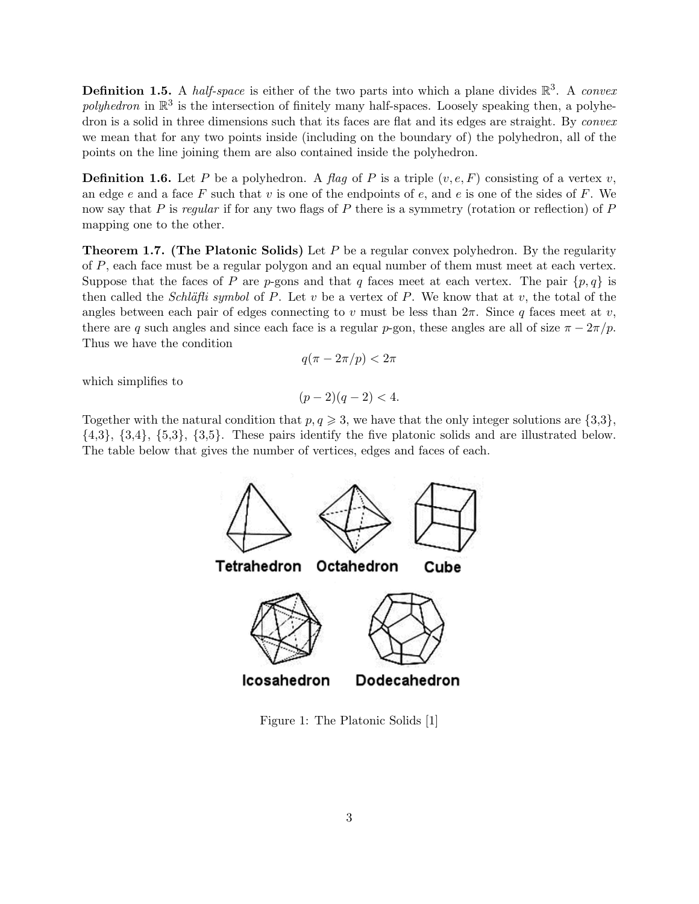**Definition 1.5.** A half-space is either of the two parts into which a plane divides  $\mathbb{R}^3$ . A convex polyhedron in  $\mathbb{R}^3$  is the intersection of finitely many half-spaces. Loosely speaking then, a polyhedron is a solid in three dimensions such that its faces are flat and its edges are straight. By *convex* we mean that for any two points inside (including on the boundary of) the polyhedron, all of the points on the line joining them are also contained inside the polyhedron.

**Definition 1.6.** Let P be a polyhedron. A flag of P is a triple  $(v, e, F)$  consisting of a vertex v, an edge e and a face F such that v is one of the endpoints of  $e$ , and  $e$  is one of the sides of F. We now say that P is regular if for any two flags of P there is a symmetry (rotation or reflection) of P mapping one to the other.

**Theorem 1.7.** (The Platonic Solids) Let  $P$  be a regular convex polyhedron. By the regularity of P, each face must be a regular polygon and an equal number of them must meet at each vertex. Suppose that the faces of P are p-gons and that q faces meet at each vertex. The pair  $\{p,q\}$  is then called the *Schläfli symbol* of P. Let v be a vertex of P. We know that at v, the total of the angles between each pair of edges connecting to v must be less than  $2\pi$ . Since q faces meet at v, there are q such angles and since each face is a regular p-gon, these angles are all of size  $\pi - 2\pi/p$ . Thus we have the condition

$$
q(\pi - 2\pi/p) < 2\pi
$$

which simplifies to

$$
(p-2)(q-2) < 4.
$$

Together with the natural condition that  $p, q \geq 3$ , we have that the only integer solutions are  $\{3,3\}$ ,  $\{4,3\}, \{3,4\}, \{5,3\}, \{3,5\}.$  These pairs identify the five platonic solids and are illustrated below. The table below that gives the number of vertices, edges and faces of each.



Figure 1: The Platonic Solids [1]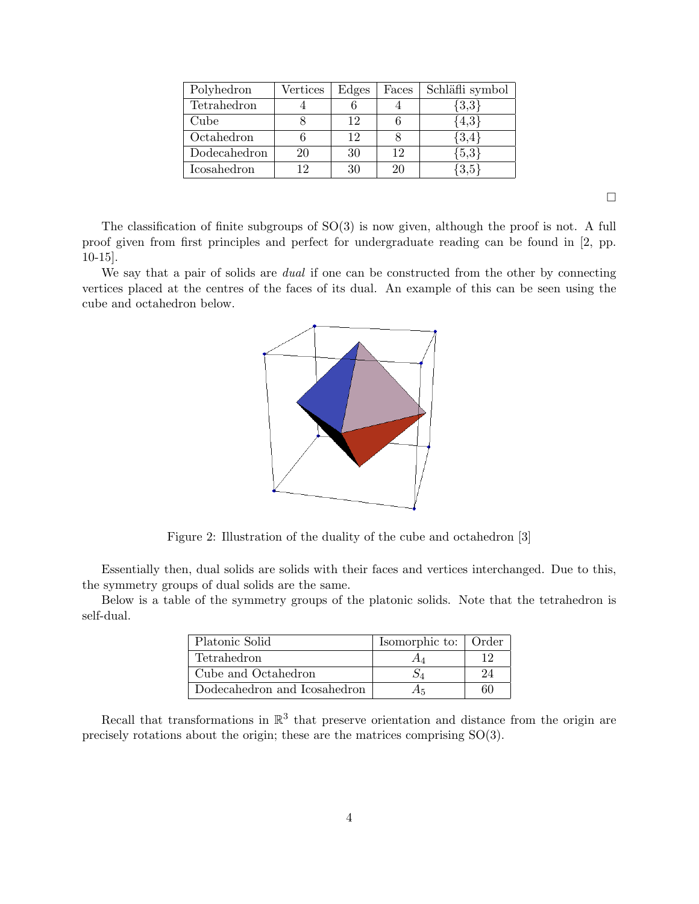| Polyhedron   | Vertices | Edges | Faces | Schläfli symbol |
|--------------|----------|-------|-------|-----------------|
| Tetrahedron  |          |       |       | $\{3,3\}$       |
| Cube         |          | 12    |       | $\{4,3\}$       |
| Octahedron   |          | 12    |       | ${3,4}$         |
| Dodecahedron | 20       | 30    | 12    | $\{5,3\}$       |
| Icosahedron  | 19       | 30    | 20    | ,3,5            |

 $\hfill \square$ 

The classification of finite subgroups of SO(3) is now given, although the proof is not. A full proof given from first principles and perfect for undergraduate reading can be found in [2, pp. 10-15].

We say that a pair of solids are *dual* if one can be constructed from the other by connecting vertices placed at the centres of the faces of its dual. An example of this can be seen using the cube and octahedron below.



Figure 2: Illustration of the duality of the cube and octahedron [3]

Essentially then, dual solids are solids with their faces and vertices interchanged. Due to this, the symmetry groups of dual solids are the same.

Below is a table of the symmetry groups of the platonic solids. Note that the tetrahedron is self-dual.

| Platonic Solid               | Isomorphic to:   Order |  |
|------------------------------|------------------------|--|
| <b>Tetrahedron</b>           |                        |  |
| Cube and Octahedron          |                        |  |
| Dodecahedron and Icosahedron |                        |  |

Recall that transformations in  $\mathbb{R}^3$  that preserve orientation and distance from the origin are precisely rotations about the origin; these are the matrices comprising SO(3).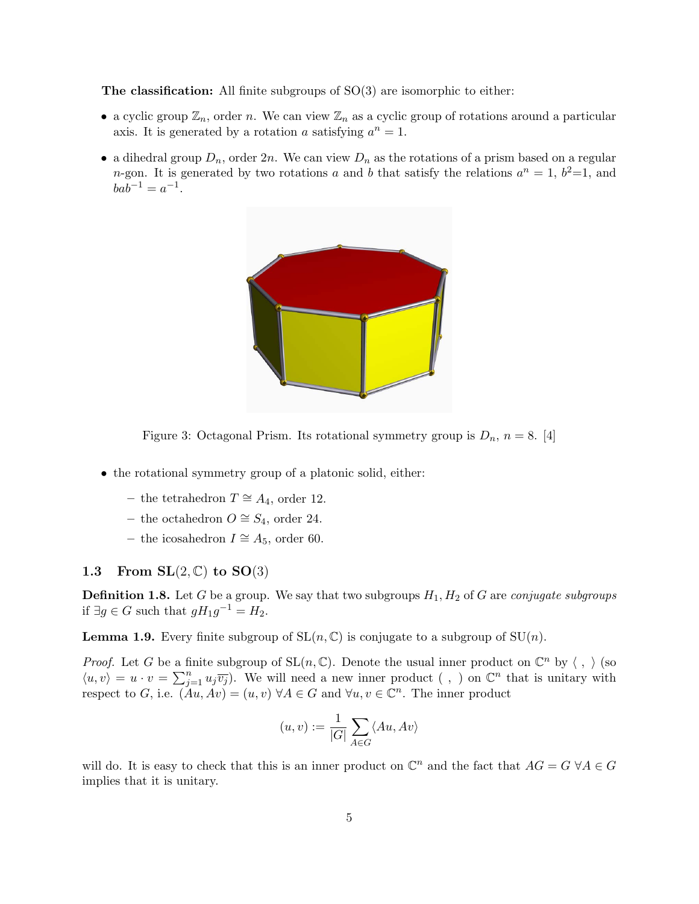**The classification:** All finite subgroups of  $SO(3)$  are isomorphic to either:

- a cyclic group  $\mathbb{Z}_n$ , order n. We can view  $\mathbb{Z}_n$  as a cyclic group of rotations around a particular axis. It is generated by a rotation a satisfying  $a^n = 1$ .
- a dihedral group  $D_n$ , order  $2n$ . We can view  $D_n$  as the rotations of a prism based on a regular *n*-gon. It is generated by two rotations a and b that satisfy the relations  $a^n = 1$ ,  $b^2 = 1$ , and  $bab^{-1} = a^{-1}.$



Figure 3: Octagonal Prism. Its rotational symmetry group is  $D_n$ ,  $n = 8$ . [4]

- the rotational symmetry group of a platonic solid, either:
	- the tetrahedron  $T \cong A_4$ , order 12.
	- the octahedron  $O \cong S_4$ , order 24.
	- the icosahedron  $I \cong A_5$ , order 60.

#### 1.3 From  $SL(2, \mathbb{C})$  to  $SO(3)$

**Definition 1.8.** Let G be a group. We say that two subgroups  $H_1, H_2$  of G are conjugate subgroups if  $\exists g \in G$  such that  $gH_1g^{-1} = H_2$ .

**Lemma 1.9.** Every finite subgroup of  $SL(n, \mathbb{C})$  is conjugate to a subgroup of  $SU(n)$ .

*Proof.* Let G be a finite subgroup of  $SL(n, \mathbb{C})$ . Denote the usual inner product on  $\mathbb{C}^n$  by  $\langle , \rangle$  (so  $\langle u, v \rangle = u \cdot v = \sum_{j=1}^n u_j \overline{v_j}$ . We will need a new inner product (, ) on  $\mathbb{C}^n$  that is unitary with respect to G, i.e.  $(Au, Av) = (u, v) \ \forall A \in G$  and  $\forall u, v \in \mathbb{C}^n$ . The inner product

$$
(u,v):=\frac{1}{|G|}\sum_{A\in G}\langle Au,Av\rangle
$$

will do. It is easy to check that this is an inner product on  $\mathbb{C}^n$  and the fact that  $AG = G \ \forall A \in G$ implies that it is unitary.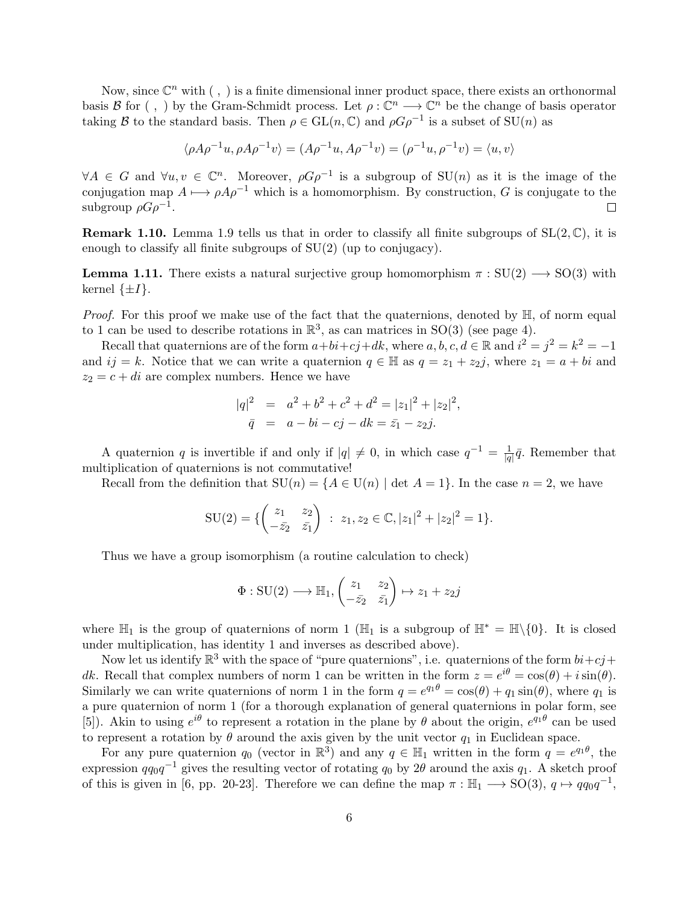Now, since  $\mathbb{C}^n$  with  $( , )$  is a finite dimensional inner product space, there exists an orthonormal basis B for  $( , )$  by the Gram-Schmidt process. Let  $\rho : \mathbb{C}^n \longrightarrow \mathbb{C}^n$  be the change of basis operator taking B to the standard basis. Then  $\rho \in GL(n, \mathbb{C})$  and  $\rho G \rho^{-1}$  is a subset of  $SU(n)$  as

$$
\langle \rho A \rho^{-1} u, \rho A \rho^{-1} v \rangle = (A \rho^{-1} u, A \rho^{-1} v) = (\rho^{-1} u, \rho^{-1} v) = \langle u, v \rangle
$$

 $\forall A \in G$  and  $\forall u, v \in \mathbb{C}^n$ . Moreover,  $\rho G \rho^{-1}$  is a subgroup of  $SU(n)$  as it is the image of the conjugation map  $A \mapsto \rho A \rho^{-1}$  which is a homomorphism. By construction, G is conjugate to the subgroup  $\rho G \rho^{-1}$ .  $\Box$ 

**Remark 1.10.** Lemma 1.9 tells us that in order to classify all finite subgroups of  $SL(2,\mathbb{C})$ , it is enough to classify all finite subgroups of SU(2) (up to conjugacy).

**Lemma 1.11.** There exists a natural surjective group homomorphism  $\pi : SU(2) \longrightarrow SO(3)$  with kernel  $\{\pm I\}.$ 

*Proof.* For this proof we make use of the fact that the quaternions, denoted by  $\mathbb{H}$ , of norm equal to 1 can be used to describe rotations in  $\mathbb{R}^3$ , as can matrices in SO(3) (see page 4).

Recall that quaternions are of the form  $a+bi+cj+dk$ , where  $a, b, c, d \in \mathbb{R}$  and  $i^2 = j^2 = k^2 = -1$ and  $ij = k$ . Notice that we can write a quaternion  $q \in \mathbb{H}$  as  $q = z_1 + z_2j$ , where  $z_1 = a + bi$  and  $z_2 = c + di$  are complex numbers. Hence we have

$$
|q|^{2} = a^{2} + b^{2} + c^{2} + d^{2} = |z_{1}|^{2} + |z_{2}|^{2},
$$
  
\n
$$
\bar{q} = a - bi - cj - dk = \bar{z}_{1} - z_{2}j.
$$

A quaternion q is invertible if and only if  $|q| \neq 0$ , in which case  $q^{-1} = \frac{1}{\sqrt{q}}$  $\frac{1}{|q|}\bar{q}$ . Remember that multiplication of quaternions is not commutative!

Recall from the definition that  $SU(n) = \{A \in U(n) \mid \det A = 1\}$ . In the case  $n = 2$ , we have

$$
SU(2) = \{ \begin{pmatrix} z_1 & z_2 \\ -\bar{z_2} & \bar{z_1} \end{pmatrix} : z_1, z_2 \in \mathbb{C}, |z_1|^2 + |z_2|^2 = 1 \}.
$$

Thus we have a group isomorphism (a routine calculation to check)

$$
\Phi : \mathrm{SU}(2) \longrightarrow \mathbb{H}_1, \begin{pmatrix} z_1 & z_2 \\ -\bar{z}_2 & \bar{z}_1 \end{pmatrix} \mapsto z_1 + z_2 j
$$

where  $\mathbb{H}_1$  is the group of quaternions of norm 1 ( $\mathbb{H}_1$  is a subgroup of  $\mathbb{H}^* = \mathbb{H}\setminus\{0\}$ . It is closed under multiplication, has identity 1 and inverses as described above).

Now let us identify  $\mathbb{R}^3$  with the space of "pure quaternions", i.e. quaternions of the form  $bi + cj +$ dk. Recall that complex numbers of norm 1 can be written in the form  $z = e^{i\theta} = \cos(\theta) + i\sin(\theta)$ . Similarly we can write quaternions of norm 1 in the form  $q = e^{q_1 \theta} = \cos(\theta) + q_1 \sin(\theta)$ , where  $q_1$  is a pure quaternion of norm 1 (for a thorough explanation of general quaternions in polar form, see [5]). Akin to using  $e^{i\theta}$  to represent a rotation in the plane by  $\theta$  about the origin,  $e^{q_1\theta}$  can be used to represent a rotation by  $\theta$  around the axis given by the unit vector  $q_1$  in Euclidean space.

For any pure quaternion  $q_0$  (vector in  $\mathbb{R}^3$ ) and any  $q \in \mathbb{H}_1$  written in the form  $q = e^{q_1\theta}$ , the expression  $qq_0q^{-1}$  gives the resulting vector of rotating  $q_0$  by 2 $\theta$  around the axis  $q_1$ . A sketch proof of this is given in [6, pp. 20-23]. Therefore we can define the map  $\pi : \mathbb{H}_1 \longrightarrow SO(3)$ ,  $q \mapsto qq_0q^{-1}$ ,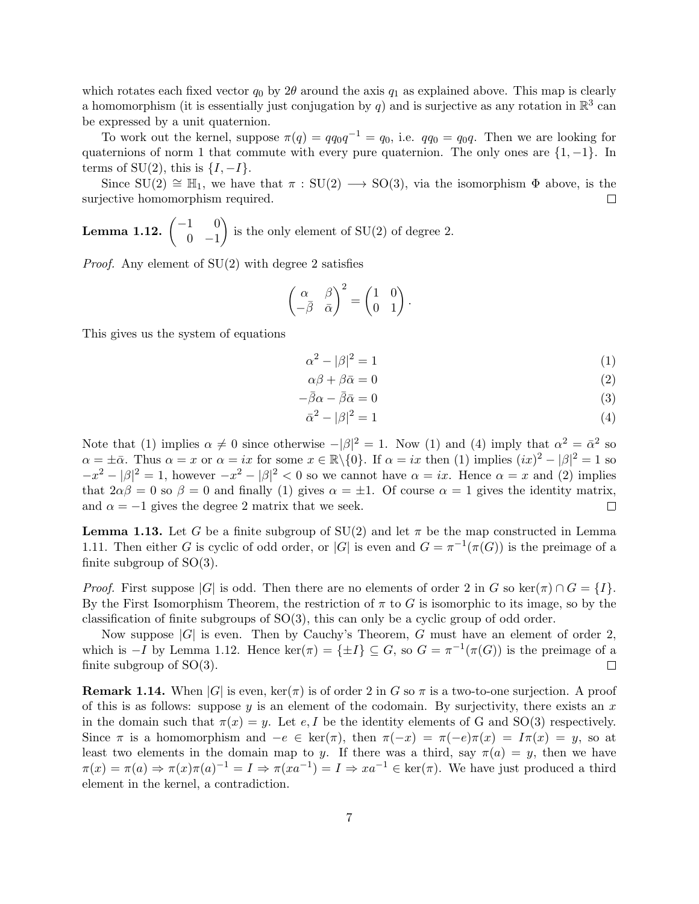which rotates each fixed vector  $q_0$  by 2 $\theta$  around the axis  $q_1$  as explained above. This map is clearly a homomorphism (it is essentially just conjugation by q) and is surjective as any rotation in  $\mathbb{R}^3$  can be expressed by a unit quaternion.

To work out the kernel, suppose  $\pi(q) = qq_0q^{-1} = q_0$ , i.e.  $qq_0 = q_0q$ . Then we are looking for quaternions of norm 1 that commute with every pure quaternion. The only ones are  $\{1, -1\}$ . In terms of SU(2), this is  $\{I, -I\}$ .

Since  $SU(2) \cong \mathbb{H}_1$ , we have that  $\pi : SU(2) \longrightarrow SO(3)$ , via the isomorphism  $\Phi$  above, is the surjective homomorphism required.  $\Box$ 

**Lemma 1.12.** 
$$
\begin{pmatrix} -1 & 0 \\ 0 & -1 \end{pmatrix}
$$
 is the only element of SU(2) of degree 2.

*Proof.* Any element of  $SU(2)$  with degree 2 satisfies

$$
\begin{pmatrix} \alpha & \beta \\ -\bar{\beta} & \bar{\alpha} \end{pmatrix}^2 = \begin{pmatrix} 1 & 0 \\ 0 & 1 \end{pmatrix}.
$$

This gives us the system of equations

$$
\alpha^2 - |\beta|^2 = 1\tag{1}
$$

$$
\alpha \beta + \beta \bar{\alpha} = 0 \tag{2}
$$

$$
-\bar{\beta}\alpha - \bar{\beta}\bar{\alpha} = 0\tag{3}
$$

$$
\bar{\alpha}^2 - |\beta|^2 = 1\tag{4}
$$

Note that (1) implies  $\alpha \neq 0$  since otherwise  $-|\beta|^2 = 1$ . Now (1) and (4) imply that  $\alpha^2 = \bar{\alpha}^2$  so  $\alpha = \pm \bar{\alpha}$ . Thus  $\alpha = x$  or  $\alpha = ix$  for some  $x \in \mathbb{R} \setminus \{0\}$ . If  $\alpha = ix$  then (1) implies  $(ix)^2 - |\beta|^2 = 1$  so  $-x^2 - |\beta|^2 = 1$ , however  $-x^2 - |\beta|^2 < 0$  so we cannot have  $\alpha = ix$ . Hence  $\alpha = x$  and (2) implies that  $2\alpha\beta = 0$  so  $\beta = 0$  and finally (1) gives  $\alpha = \pm 1$ . Of course  $\alpha = 1$  gives the identity matrix, and  $\alpha = -1$  gives the degree 2 matrix that we seek.  $\Box$ 

**Lemma 1.13.** Let G be a finite subgroup of SU(2) and let  $\pi$  be the map constructed in Lemma 1.11. Then either G is cyclic of odd order, or |G| is even and  $G = \pi^{-1}(\pi(G))$  is the preimage of a finite subgroup of  $SO(3)$ .

*Proof.* First suppose |G| is odd. Then there are no elements of order 2 in G so ker( $\pi$ )  $\cap$   $G = \{I\}$ . By the First Isomorphism Theorem, the restriction of  $\pi$  to G is isomorphic to its image, so by the classification of finite subgroups of SO(3), this can only be a cyclic group of odd order.

Now suppose  $|G|$  is even. Then by Cauchy's Theorem, G must have an element of order 2, which is  $-I$  by Lemma 1.12. Hence ker $(\pi) = {\pm I} \subseteq G$ , so  $G = \pi^{-1}(\pi(G))$  is the preimage of a finite subgroup of  $SO(3)$ .  $\Box$ 

**Remark 1.14.** When  $|G|$  is even,  $\ker(\pi)$  is of order 2 in G so  $\pi$  is a two-to-one surjection. A proof of this is as follows: suppose y is an element of the codomain. By surjectivity, there exists an x in the domain such that  $\pi(x) = y$ . Let e, I be the identity elements of G and SO(3) respectively. Since  $\pi$  is a homomorphism and  $-e \in \text{ker}(\pi)$ , then  $\pi(-x) = \pi(-e)\pi(x) = I\pi(x) = y$ , so at least two elements in the domain map to y. If there was a third, say  $\pi(a) = y$ , then we have  $\pi(x) = \pi(a) \Rightarrow \pi(x)\pi(a)^{-1} = I \Rightarrow \pi(xa^{-1}) = I \Rightarrow xa^{-1} \in \text{ker}(\pi)$ . We have just produced a third element in the kernel, a contradiction.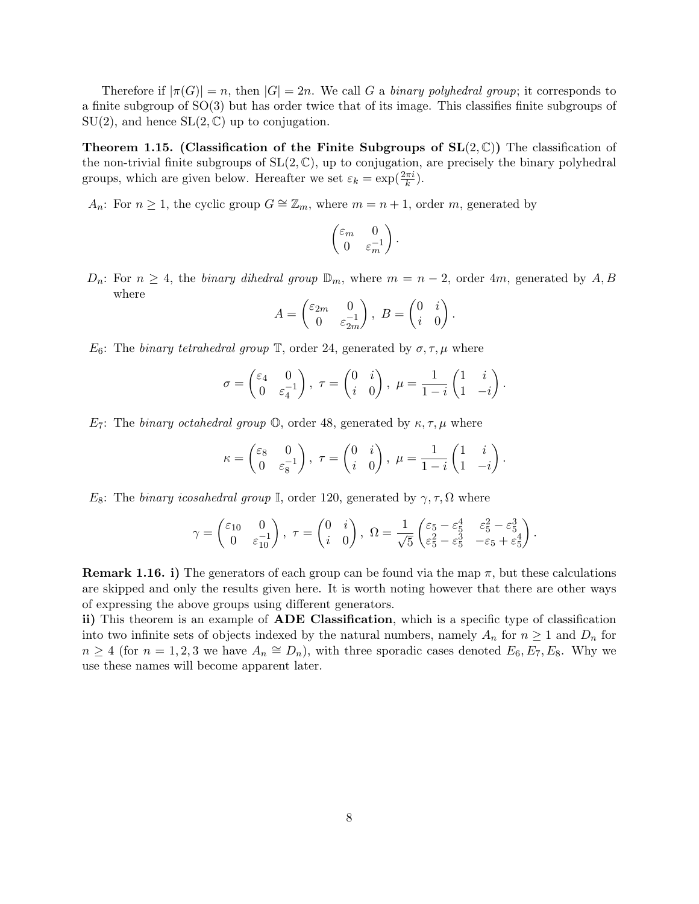Therefore if  $|\pi(G)| = n$ , then  $|G| = 2n$ . We call G a binary polyhedral group; it corresponds to a finite subgroup of SO(3) but has order twice that of its image. This classifies finite subgroups of  $SU(2)$ , and hence  $SL(2,\mathbb{C})$  up to conjugation.

**Theorem 1.15.** (Classification of the Finite Subgroups of  $SL(2,\mathbb{C})$ ) The classification of the non-trivial finite subgroups of  $SL(2, \mathbb{C})$ , up to conjugation, are precisely the binary polyhedral groups, which are given below. Hereafter we set  $\varepsilon_k = \exp(\frac{2\pi i}{k})$ .

A<sub>n</sub>: For  $n \ge 1$ , the cyclic group  $G \cong \mathbb{Z}_m$ , where  $m = n + 1$ , order m, generated by

$$
\begin{pmatrix} \varepsilon_m & 0 \\ 0 & \varepsilon_m^{-1} \end{pmatrix}.
$$

 $D_n$ : For  $n \geq 4$ , the binary dihedral group  $\mathbb{D}_m$ , where  $m = n - 2$ , order 4m, generated by A, B where

$$
A = \begin{pmatrix} \varepsilon_{2m} & 0 \\ 0 & \varepsilon_{2m}^{-1} \end{pmatrix}, \ B = \begin{pmatrix} 0 & i \\ i & 0 \end{pmatrix}.
$$

 $E_6$ : The binary tetrahedral group  $\mathbb{T}$ , order 24, generated by  $\sigma, \tau, \mu$  where

$$
\sigma = \begin{pmatrix} \varepsilon_4 & 0 \\ 0 & \varepsilon_4^{-1} \end{pmatrix}, \ \tau = \begin{pmatrix} 0 & i \\ i & 0 \end{pmatrix}, \ \mu = \frac{1}{1-i} \begin{pmatrix} 1 & i \\ 1 & -i \end{pmatrix}.
$$

 $E_7$ : The binary octahedral group  $\mathbb{O}$ , order 48, generated by  $\kappa, \tau, \mu$  where

$$
\kappa = \begin{pmatrix} \varepsilon_8 & 0 \\ 0 & \varepsilon_8^{-1} \end{pmatrix}, \ \tau = \begin{pmatrix} 0 & i \\ i & 0 \end{pmatrix}, \ \mu = \frac{1}{1-i} \begin{pmatrix} 1 & i \\ 1 & -i \end{pmatrix}.
$$

 $E_8$ : The binary icosahedral group I, order 120, generated by  $\gamma, \tau, \Omega$  where

$$
\gamma = \begin{pmatrix} \varepsilon_{10} & 0 \\ 0 & \varepsilon_{10}^{-1} \end{pmatrix}, \ \tau = \begin{pmatrix} 0 & i \\ i & 0 \end{pmatrix}, \ \Omega = \frac{1}{\sqrt{5}} \begin{pmatrix} \varepsilon_{5} - \varepsilon_{5}^{4} & \varepsilon_{5}^{2} - \varepsilon_{5}^{3} \\ \varepsilon_{5}^{2} - \varepsilon_{5}^{3} & -\varepsilon_{5} + \varepsilon_{5}^{4} \end{pmatrix}.
$$

**Remark 1.16. i)** The generators of each group can be found via the map  $\pi$ , but these calculations are skipped and only the results given here. It is worth noting however that there are other ways of expressing the above groups using different generators.

ii) This theorem is an example of **ADE** Classification, which is a specific type of classification into two infinite sets of objects indexed by the natural numbers, namely  $A_n$  for  $n \geq 1$  and  $D_n$  for  $n \geq 4$  (for  $n = 1, 2, 3$  we have  $A_n \cong D_n$ ), with three sporadic cases denoted  $E_6, E_7, E_8$ . Why we use these names will become apparent later.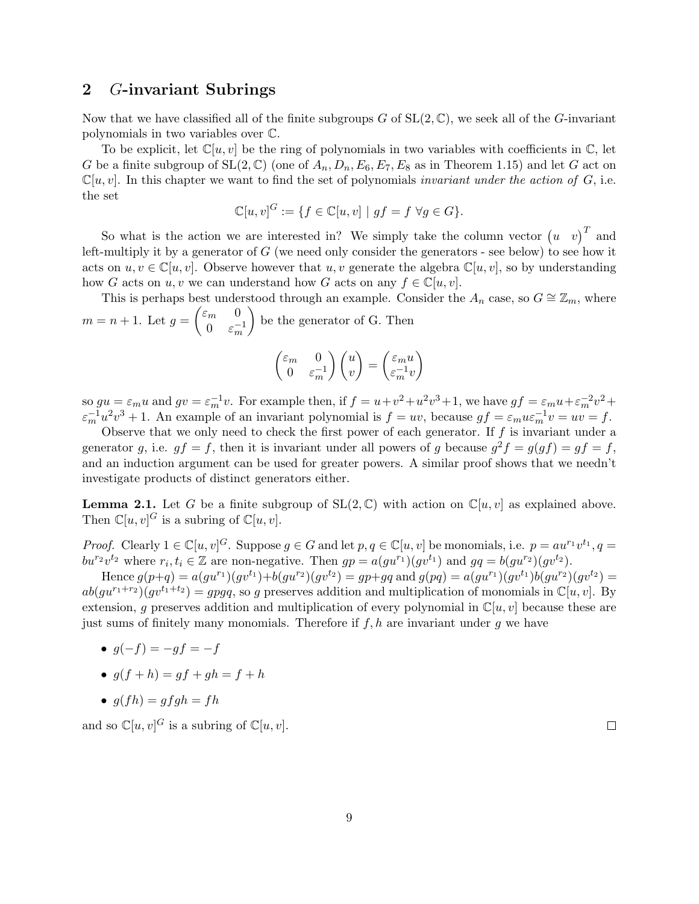## 2 G-invariant Subrings

Now that we have classified all of the finite subgroups G of  $SL(2,\mathbb{C})$ , we seek all of the G-invariant polynomials in two variables over C.

To be explicit, let  $\mathbb{C}[u, v]$  be the ring of polynomials in two variables with coefficients in  $\mathbb{C}$ , let G be a finite subgroup of  $SL(2,\mathbb{C})$  (one of  $A_n, D_n, E_6, E_7, E_8$  as in Theorem 1.15) and let G act on  $\mathbb{C}[u, v]$ . In this chapter we want to find the set of polynomials *invariant under the action of G*, i.e. the set

$$
\mathbb{C}[u, v]^G := \{ f \in \mathbb{C}[u, v] \mid gf = f \,\,\forall g \in G \}.
$$

So what is the action we are interested in? We simply take the column vector  $(u \ v)^T$  and left-multiply it by a generator of  $G$  (we need only consider the generators - see below) to see how it acts on  $u, v \in \mathbb{C}[u, v]$ . Observe however that  $u, v$  generate the algebra  $\mathbb{C}[u, v]$ , so by understanding how G acts on u, v we can understand how G acts on any  $f \in \mathbb{C}[u, v]$ .

This is perhaps best understood through an example. Consider the  $A_n$  case, so  $G \cong \mathbb{Z}_m$ , where  $m = n + 1$ . Let  $g = \begin{pmatrix} \varepsilon_m & 0 \\ 0 & - \end{pmatrix}$  $0 \quad \varepsilon_m^{-1}$ be the generator of G. Then

$$
\begin{pmatrix} \varepsilon_m & 0\\ 0 & \varepsilon_m^{-1} \end{pmatrix} \begin{pmatrix} u\\ v \end{pmatrix} = \begin{pmatrix} \varepsilon_m u\\ \varepsilon_m^{-1}v \end{pmatrix}
$$

so  $gu = \varepsilon_m u$  and  $gv = \varepsilon_m^{-1}v$ . For example then, if  $f = u + v^2 + u^2v^3 + 1$ , we have  $gf = \varepsilon_m u + \varepsilon_m^{-2}v^2 +$  $\varepsilon_m^{-1}u^2v^3 + 1$ . An example of an invariant polynomial is  $f = uv$ , because  $gf = \varepsilon_m u \varepsilon_m^{-1}v = uv = f$ .

Observe that we only need to check the first power of each generator. If  $f$  is invariant under a generator g, i.e.  $gf = f$ , then it is invariant under all powers of g because  $g^2 f = g(gf) = gf = f$ , and an induction argument can be used for greater powers. A similar proof shows that we needn't investigate products of distinct generators either.

**Lemma 2.1.** Let G be a finite subgroup of  $SL(2, \mathbb{C})$  with action on  $\mathbb{C}[u, v]$  as explained above. Then  $\mathbb{C}[u, v]^G$  is a subring of  $\mathbb{C}[u, v]$ .

*Proof.* Clearly  $1 \in \mathbb{C}[u, v]^G$ . Suppose  $g \in G$  and let  $p, q \in \mathbb{C}[u, v]$  be monomials, i.e.  $p = au^{r_1}v^{t_1}$ ,  $q =$  $bu^{r_2}v^{t_2}$  where  $r_i, t_i \in \mathbb{Z}$  are non-negative. Then  $gp = a(gu^{r_1})(gv^{t_1})$  and  $gq = b(gu^{r_2})(gv^{t_2})$ .

Hence  $g(p+q) = a(gu^{r_1})(gv^{t_1})+b(gu^{r_2})(gv^{t_2}) = gp+qq$  and  $g(pq) = a(gu^{r_1})(gv^{t_1})b(gu^{r_2})(gv^{t_2}) =$  $ab(gu^{r_1+r_2})(gv^{t_1+t_2}) = gpgq$ , so g preserves addition and multiplication of monomials in  $\mathbb{C}[u, v]$ . By extension, g preserves addition and multiplication of every polynomial in  $\mathbb{C}[u, v]$  because these are just sums of finitely many monomials. Therefore if  $f, h$  are invariant under q we have

•  $q(-f) = -qf = -f$ 

$$
\bullet \ \ g(f+h) = gf + gh = f + h
$$

• 
$$
g(fh) = gfgh = fh
$$

and so  $\mathbb{C}[u, v]^G$  is a subring of  $\mathbb{C}[u, v]$ .

 $\Box$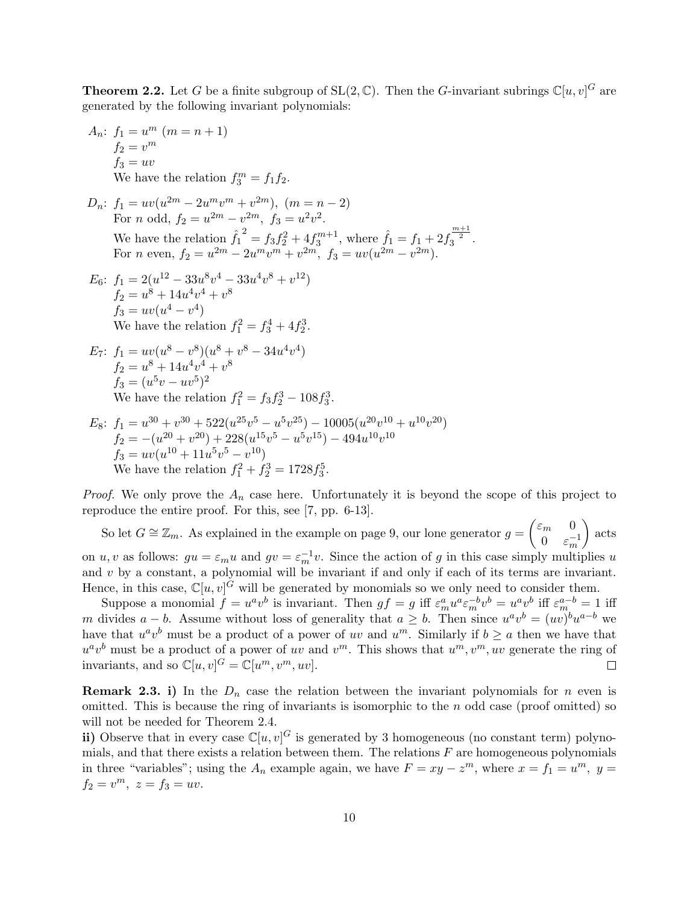**Theorem 2.2.** Let G be a finite subgroup of  $SL(2, \mathbb{C})$ . Then the G-invariant subrings  $\mathbb{C}[u, v]^G$  are generated by the following invariant polynomials:

$$
A_n: f_1 = u^m \ (m = n + 1)
$$
  
\n
$$
f_2 = v^m
$$
  
\n
$$
f_3 = uv
$$
  
\nWe have the relation  $f_3^m = f_1 f_2$ .  
\n
$$
D_n: f_1 = uv(u^{2m} - 2u^mv^m + v^{2m}), \ (m = n - 2)
$$
  
\nFor *n* odd,  $f_2 = u^{2m} - v^{2m}$ ,  $f_3 = u^2v^2$ .  
\nWe have the relation  $\hat{f}_1^2 = f_3 f_2^2 + 4f_3^{m+1}$ , where  $\hat{f}_1 = f_1 + 2f_3^{\frac{m+1}{2}}$ .  
\nFor *n* even,  $f_2 = u^{2m} - 2u^mv^m + v^{2m}$ ,  $f_3 = uv(u^{2m} - v^{2m})$ .  
\n
$$
E_6: f_1 = 2(u^{12} - 33u^8v^4 - 33u^4v^8 + v^{12})
$$
  
\n
$$
f_2 = u^8 + 14u^4v^4 + v^8
$$
  
\n
$$
f_3 = uv(u^4 - v^4)
$$
  
\nWe have the relation  $f_1^2 = f_3^4 + 4f_2^3$ .  
\n
$$
E_7: f_1 = uv(u^8 - v^8)(u^8 + v^8 - 34u^4v^4)
$$
  
\n
$$
f_2 = u^8 + 14u^4v^4 + v^8
$$
  
\n
$$
f_3 = (u^5v - uv^5)^2
$$
  
\nWe have the relation  $f_1^2 = f_3 f_2^3 - 108f_3^3$ .  
\n
$$
E_8: f_1 = u^{30} + v^{30} + 522(u^{25}v^5 - u^5v^{25}) - 10005(u^{20}v^{10} + u^{10}v^{20})
$$
  
\n
$$
f_2 = -(u^{20} + v^{20}) + 228(u^{15}v^5 - u^{5}v^{15}) - 494u^{10}v^{10}
$$
  
\n
$$
f_3 = uv(u^{10} +
$$

We have the relation  $f_1^2 + f_2^3 = 1728 f_3^5$ .

*Proof.* We only prove the  $A_n$  case here. Unfortunately it is beyond the scope of this project to reproduce the entire proof. For this, see [7, pp. 6-13].

So let  $G \cong \mathbb{Z}_m$ . As explained in the example on page 9, our lone generator  $g = \begin{pmatrix} \varepsilon_m & 0 \\ 0 & \varepsilon_m \end{pmatrix}$ 0  $\varepsilon_m^{-1}$  $\Big)$  acts on u, v as follows:  $gu = \varepsilon_m u$  and  $gv = \varepsilon_m^{-1} v$ . Since the action of g in this case simply multiplies u and  $v$  by a constant, a polynomial will be invariant if and only if each of its terms are invariant. Hence, in this case,  $\mathbb{C}[u, v]^G$  will be generated by monomials so we only need to consider them.

Suppose a monomial  $f = u^a v^b$  is invariant. Then  $gf = g$  iff  $\varepsilon_m^a u^a \varepsilon_m^{-b} v^b = u^a v^b$  iff  $\varepsilon_m^{a-b} = 1$  iff m divides  $a - b$ . Assume without loss of generality that  $a \geq b$ . Then since  $u^a v^b = (uv)^b u^{a-b}$  we have that  $u^a v^b$  must be a product of a power of uv and  $u^m$ . Similarly if  $b \ge a$  then we have that  $u^a v^b$  must be a product of a power of uv and  $v^m$ . This shows that  $u^m, v^m, uv$  generate the ring of invariants, and so  $\mathbb{C}[u, v]^G = \mathbb{C}[u^m, v^m, uv].$ П

**Remark 2.3. i)** In the  $D_n$  case the relation between the invariant polynomials for n even is omitted. This is because the ring of invariants is isomorphic to the  $n$  odd case (proof omitted) so will not be needed for Theorem 2.4.

ii) Observe that in every case  $\mathbb{C}[u, v]^G$  is generated by 3 homogeneous (no constant term) polynomials, and that there exists a relation between them. The relations  $F$  are homogeneous polynomials in three "variables"; using the  $A_n$  example again, we have  $F = xy - z^m$ , where  $x = f_1 = u^m$ ,  $y =$  $f_2 = v^m$ ,  $z = f_3 = uv$ .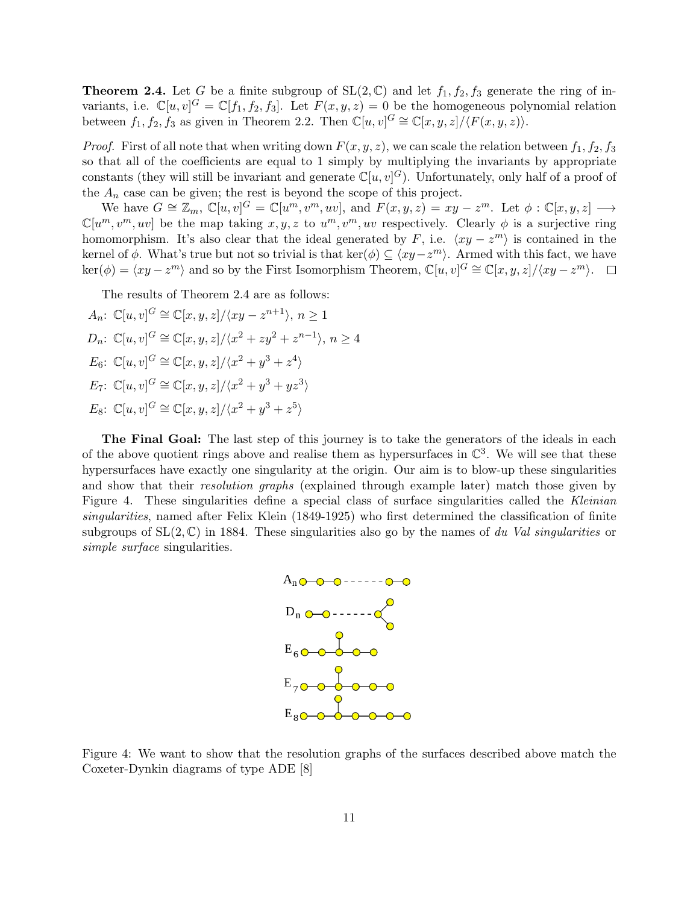**Theorem 2.4.** Let G be a finite subgroup of  $SL(2, \mathbb{C})$  and let  $f_1, f_2, f_3$  generate the ring of invariants, i.e.  $\mathbb{C}[u, v]^G = \mathbb{C}[f_1, f_2, f_3]$ . Let  $F(x, y, z) = 0$  be the homogeneous polynomial relation between  $f_1, f_2, f_3$  as given in Theorem 2.2. Then  $\mathbb{C}[u, v]^G \cong \mathbb{C}[x, y, z]/\langle F(x, y, z) \rangle$ .

*Proof.* First of all note that when writing down  $F(x, y, z)$ , we can scale the relation between  $f_1, f_2, f_3$ so that all of the coefficients are equal to 1 simply by multiplying the invariants by appropriate constants (they will still be invariant and generate  $\mathbb{C}[u, v]^G$ ). Unfortunately, only half of a proof of the  $A_n$  case can be given; the rest is beyond the scope of this project.

We have  $G \cong \mathbb{Z}_m$ ,  $\mathbb{C}[u, v]^G = \mathbb{C}[u^m, v^m, uv]$ , and  $F(x, y, z) = xy - z^m$ . Let  $\phi : \mathbb{C}[x, y, z] \longrightarrow$  $\mathbb{C}[u^m, v^m, uv]$  be the map taking  $x, y, z$  to  $u^m, v^m, uv$  respectively. Clearly  $\phi$  is a surjective ring homomorphism. It's also clear that the ideal generated by F, i.e.  $\langle xy - z^m \rangle$  is contained in the kernel of  $\phi$ . What's true but not so trivial is that ker( $\phi$ )  $\subseteq \langle xy-z^m\rangle$ . Armed with this fact, we have  $\ker(\phi) = \langle xy - z^m \rangle$  and so by the First Isomorphism Theorem,  $\mathbb{C}[u, v]^G \cong \mathbb{C}[x, y, z]/\langle xy - z^m \rangle$ .

The results of Theorem 2.4 are as follows:

$$
A_n: \mathbb{C}[u, v]^G \cong \mathbb{C}[x, y, z]/\langle xy - z^{n+1} \rangle, n \ge 1
$$
  
\n
$$
D_n: \mathbb{C}[u, v]^G \cong \mathbb{C}[x, y, z]/\langle x^2 + zy^2 + z^{n-1} \rangle, n \ge 4
$$
  
\n
$$
E_6: \mathbb{C}[u, v]^G \cong \mathbb{C}[x, y, z]/\langle x^2 + y^3 + z^4 \rangle
$$
  
\n
$$
E_7: \mathbb{C}[u, v]^G \cong \mathbb{C}[x, y, z]/\langle x^2 + y^3 + yz^3 \rangle
$$
  
\n
$$
E_8: \mathbb{C}[u, v]^G \cong \mathbb{C}[x, y, z]/\langle x^2 + y^3 + z^5 \rangle
$$

The Final Goal: The last step of this journey is to take the generators of the ideals in each of the above quotient rings above and realise them as hypersurfaces in  $\mathbb{C}^3$ . We will see that these hypersurfaces have exactly one singularity at the origin. Our aim is to blow-up these singularities and show that their *resolution graphs* (explained through example later) match those given by Figure 4. These singularities define a special class of surface singularities called the Kleinian singularities, named after Felix Klein (1849-1925) who first determined the classification of finite subgroups of  $SL(2,\mathbb{C})$  in 1884. These singularities also go by the names of du Val singularities or simple surface singularities.



Figure 4: We want to show that the resolution graphs of the surfaces described above match the Coxeter-Dynkin diagrams of type ADE [8]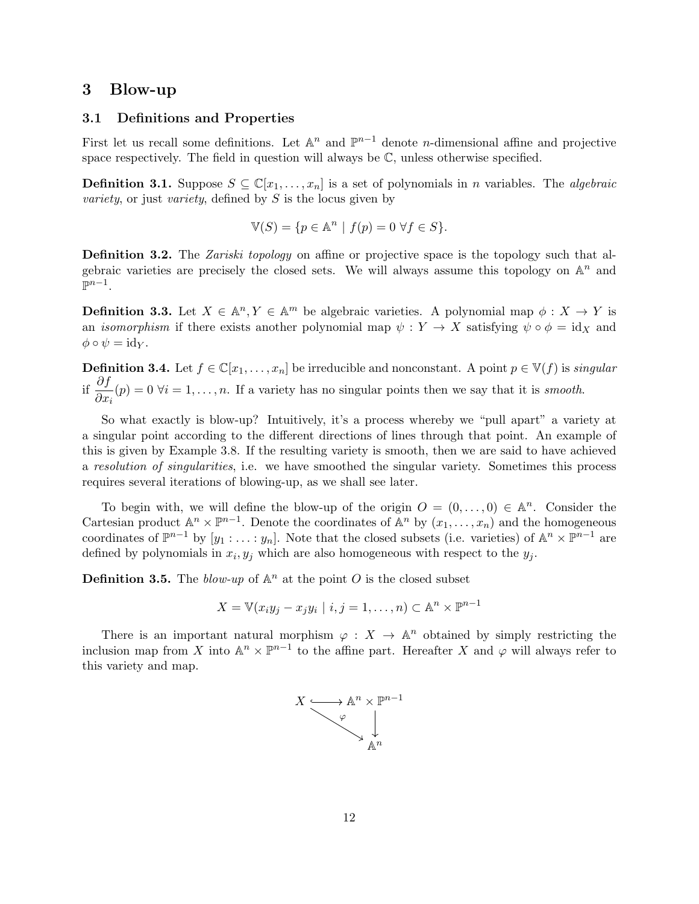## 3 Blow-up

## 3.1 Definitions and Properties

First let us recall some definitions. Let  $\mathbb{A}^n$  and  $\mathbb{P}^{n-1}$  denote *n*-dimensional affine and projective space respectively. The field in question will always be  $\mathbb{C}$ , unless otherwise specified.

**Definition 3.1.** Suppose  $S \subseteq \mathbb{C}[x_1, \ldots, x_n]$  is a set of polynomials in *n* variables. The *algebraic* variety, or just variety, defined by  $S$  is the locus given by

$$
\mathbb{V}(S) = \{ p \in \mathbb{A}^n \mid f(p) = 0 \,\,\forall f \in S \}.
$$

Definition 3.2. The *Zariski topology* on affine or projective space is the topology such that algebraic varieties are precisely the closed sets. We will always assume this topology on  $\mathbb{A}^n$  and  $\mathbb{P}^{n-1}$ .

**Definition 3.3.** Let  $X \in \mathbb{A}^n$ ,  $Y \in \mathbb{A}^m$  be algebraic varieties. A polynomial map  $\phi: X \to Y$  is an *isomorphism* if there exists another polynomial map  $\psi: Y \to X$  satisfying  $\psi \circ \phi = id_X$  and  $\phi \circ \psi = \mathrm{id}_Y.$ 

**Definition 3.4.** Let  $f \in \mathbb{C}[x_1,\ldots,x_n]$  be irreducible and nonconstant. A point  $p \in \mathbb{V}(f)$  is *singular* if  $\frac{\partial f}{\partial x}$  $\frac{\partial J}{\partial x_i}(p) = 0$   $\forall i = 1, ..., n$ . If a variety has no singular points then we say that it is *smooth*.

So what exactly is blow-up? Intuitively, it's a process whereby we "pull apart" a variety at a singular point according to the different directions of lines through that point. An example of this is given by Example 3.8. If the resulting variety is smooth, then we are said to have achieved a resolution of singularities, i.e. we have smoothed the singular variety. Sometimes this process requires several iterations of blowing-up, as we shall see later.

To begin with, we will define the blow-up of the origin  $O = (0, \ldots, 0) \in \mathbb{A}^n$ . Consider the Cartesian product  $\mathbb{A}^n \times \mathbb{P}^{n-1}$ . Denote the coordinates of  $\mathbb{A}^n$  by  $(x_1, \ldots, x_n)$  and the homogeneous coordinates of  $\mathbb{P}^{n-1}$  by  $[y_1 : \ldots : y_n]$ . Note that the closed subsets (i.e. varieties) of  $\mathbb{A}^n \times \mathbb{P}^{n-1}$  are defined by polynomials in  $x_i, y_j$  which are also homogeneous with respect to the  $y_j$ .

**Definition 3.5.** The blow-up of  $\mathbb{A}^n$  at the point O is the closed subset

$$
X = \mathbb{V}(x_i y_j - x_j y_i \mid i, j = 1, \dots, n) \subset \mathbb{A}^n \times \mathbb{P}^{n-1}
$$

There is an important natural morphism  $\varphi : X \to \mathbb{A}^n$  obtained by simply restricting the inclusion map from X into  $\mathbb{A}^n \times \mathbb{P}^{n-1}$  to the affine part. Hereafter X and  $\varphi$  will always refer to this variety and map.

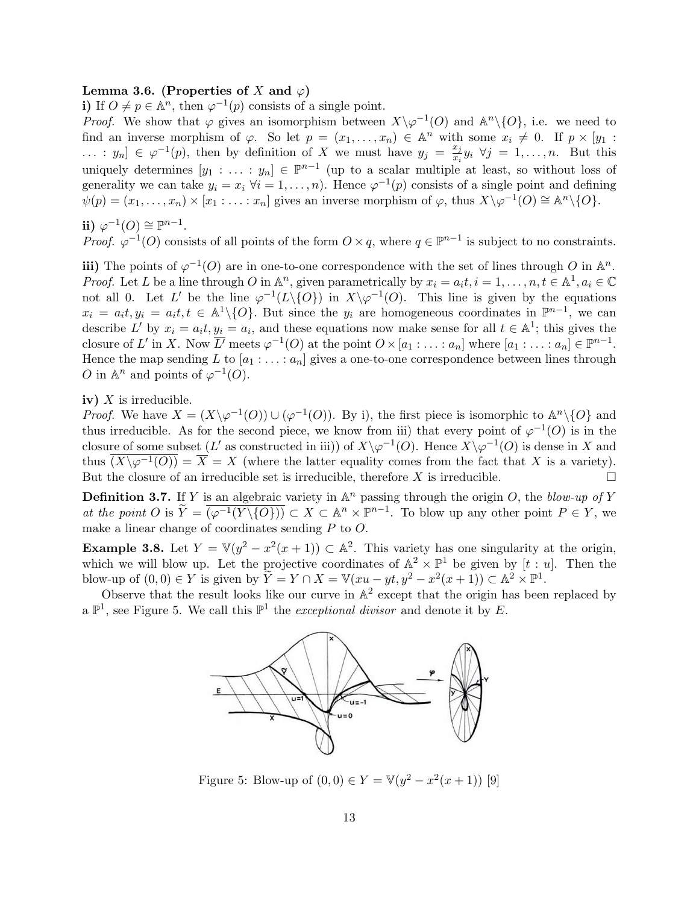#### Lemma 3.6. (Properties of X and  $\varphi$ )

i) If  $O \neq p \in \mathbb{A}^n$ , then  $\varphi^{-1}(p)$  consists of a single point.

*Proof.* We show that  $\varphi$  gives an isomorphism between  $X\backslash \varphi^{-1}(O)$  and  $\mathbb{A}^n\backslash\{O\}$ , i.e. we need to find an inverse morphism of  $\varphi$ . So let  $p = (x_1, \ldots, x_n) \in \mathbb{A}^n$  with some  $x_i \neq 0$ . If  $p \times [y_1]$ :  $\ldots$  :  $y_n$ ]  $\in \varphi^{-1}(p)$ , then by definition of X we must have  $y_j = \frac{x_j}{x_j}$  $\frac{x_j}{x_i}y_i \ \forall j = 1, \ldots, n.$  But this uniquely determines  $[y_1 : \ldots : y_n] \in \mathbb{P}^{n-1}$  (up to a scalar multiple at least, so without loss of generality we can take  $y_i = x_i \; \forall i = 1, ..., n$ . Hence  $\varphi^{-1}(p)$  consists of a single point and defining  $\psi(p) = (x_1, \ldots, x_n) \times [x_1 : \ldots : x_n]$  gives an inverse morphism of  $\varphi$ , thus  $X \setminus \varphi^{-1}(O) \cong \mathbb{A}^n \setminus \{O\}.$ 

$$
ii) \varphi^{-1}(O) \cong \mathbb{P}^{n-1}.
$$

*Proof.*  $\varphi^{-1}(O)$  consists of all points of the form  $O \times q$ , where  $q \in \mathbb{P}^{n-1}$  is subject to no constraints.

iii) The points of  $\varphi^{-1}(O)$  are in one-to-one correspondence with the set of lines through O in  $\mathbb{A}^n$ . *Proof.* Let L be a line through O in  $\mathbb{A}^n$ , given parametrically by  $x_i = a_i t, i = 1, \ldots, n, t \in \mathbb{A}^1, a_i \in \mathbb{C}$ not all 0. Let L' be the line  $\varphi^{-1}(L \setminus \{O\})$  in  $X \setminus \varphi^{-1}(O)$ . This line is given by the equations  $x_i = a_i t, y_i = a_i t, t \in \mathbb{A}^1 \setminus \{O\}$ . But since the  $y_i$  are homogeneous coordinates in  $\mathbb{P}^{n-1}$ , we can describe L' by  $x_i = a_i t, y_i = a_i$ , and these equations now make sense for all  $t \in \mathbb{A}^1$ ; this gives the closure of L' in X. Now  $\overline{L'}$  meets  $\varphi^{-1}(O)$  at the point  $O \times [a_1 : \ldots : a_n]$  where  $[a_1 : \ldots : a_n] \in \mathbb{P}^{n-1}$ . Hence the map sending L to  $[a_1 : \ldots : a_n]$  gives a one-to-one correspondence between lines through O in  $\mathbb{A}^n$  and points of  $\varphi^{-1}(O)$ .

#### iv)  $X$  is irreducible.

*Proof.* We have  $X = (X \setminus \varphi^{-1}(O)) \cup (\varphi^{-1}(O))$ . By i), the first piece is isomorphic to  $\mathbb{A}^n \setminus \{O\}$  and thus irreducible. As for the second piece, we know from iii) that every point of  $\varphi^{-1}(O)$  is in the closure of some subset (L' as constructed in iii)) of  $X\backslash\varphi^{-1}(O)$ . Hence  $X\backslash\varphi^{-1}(O)$  is dense in X and thus  $\overline{(X\setminus\varphi^{-1}(O))} = \overline{X} = X$  (where the latter equality comes from the fact that X is a variety). But the closure of an irreducible set is irreducible, therefore  $X$  is irreducible.

**Definition 3.7.** If Y is an algebraic variety in  $\mathbb{A}^n$  passing through the origin O, the blow-up of Y at the point  $O$  is  $\widetilde{Y} = \overline{(\varphi^{-1}(Y \setminus \{O\}))} \subset X \subset \mathbb{A}^n \times \mathbb{P}^{n-1}$ . To blow up any other point  $P \in Y$ , we make a linear change of coordinates sending P to O.

**Example 3.8.** Let  $Y = \mathbb{V}(y^2 - x^2(x+1)) \subset \mathbb{A}^2$ . This variety has one singularity at the origin, which we will blow up. Let the projective coordinates of  $\mathbb{A}^2 \times \mathbb{P}^1$  be given by  $[t : u]$ . Then the blow-up of  $(0,0) \in Y$  is given by  $\widetilde{Y} = Y \cap X = \mathbb{V}(xu - yt, y^2 - x^2(x+1)) \subset \mathbb{A}^2 \times \mathbb{P}^1$ .

Observe that the result looks like our curve in  $\mathbb{A}^2$  except that the origin has been replaced by a  $\mathbb{P}^1$ , see Figure 5. We call this  $\mathbb{P}^1$  the *exceptional divisor* and denote it by E.



Figure 5: Blow-up of  $(0,0) \in Y = \mathbb{V}(y^2 - x^2(x+1))$  [9]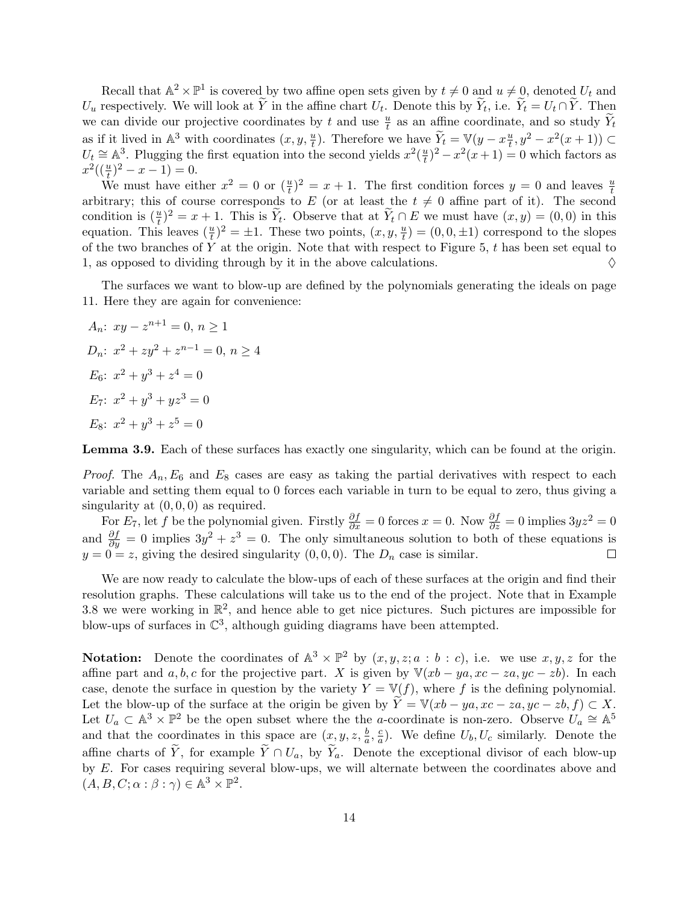Recall that  $\mathbb{A}^2 \times \mathbb{P}^1$  is covered by two affine open sets given by  $t \neq 0$  and  $u \neq 0$ , denoted  $U_t$  and  $U_u$  respectively. We will look at Y in the affine chart  $U_t$ . Denote this by  $Y_t$ , i.e.  $Y_t = U_t \cap Y$ . Then we can divide our projective coordinates by t and use  $\frac{u}{t}$  as an affine coordinate, and so study  $\widetilde{Y}_t$ as if it lived in  $\mathbb{A}^3$  with coordinates  $(x, y, \frac{u}{t})$ . Therefore we have  $\widetilde{Y}_t = \mathbb{V}(y - x \frac{u}{t})$  $\frac{u}{t}, y^2 - x^2(x+1) \subset$  $U_t \cong \mathbb{A}^3$ . Plugging the first equation into the second yields  $x^2(\frac{u}{t})$  $(\frac{u}{t})^2 - x^2(x+1) = 0$  which factors as  $x^2((\frac{u}{t})^2 - x - 1) = 0.$ 

We must have either  $x^2 = 0$  or  $(\frac{u}{t})^2 = x + 1$ . The first condition forces  $y = 0$  and leaves  $\frac{u}{t}$ arbitrary; this of course corresponds to E (or at least the  $t \neq 0$  affine part of it). The second condition is  $(\frac{u}{t})^2 = x + 1$ . This is  $\widetilde{Y}_t$ . Observe that at  $\widetilde{Y}_t \cap E$  we must have  $(x, y) = (0, 0)$  in this equation. This leaves  $(\frac{u}{t})^2 = \pm 1$ . These two points,  $(x, y, \frac{u}{t}) = (0, 0, \pm 1)$  correspond to the slopes of the two branches of  $Y$  at the origin. Note that with respect to Figure 5,  $t$  has been set equal to 1, as opposed to dividing through by it in the above calculations.  $\Diamond$ 

The surfaces we want to blow-up are defined by the polynomials generating the ideals on page 11. Here they are again for convenience:

$$
A_n: xy - z^{n+1} = 0, n \ge 1
$$
  
\n
$$
D_n: x^2 + zy^2 + z^{n-1} = 0, n \ge 4
$$
  
\n
$$
E_6: x^2 + y^3 + z^4 = 0
$$
  
\n
$$
E_7: x^2 + y^3 + yz^3 = 0
$$
  
\n
$$
E_8: x^2 + y^3 + z^5 = 0
$$

Lemma 3.9. Each of these surfaces has exactly one singularity, which can be found at the origin.

*Proof.* The  $A_n$ ,  $E_6$  and  $E_8$  cases are easy as taking the partial derivatives with respect to each variable and setting them equal to 0 forces each variable in turn to be equal to zero, thus giving a singularity at  $(0, 0, 0)$  as required.

For  $E_7$ , let f be the polynomial given. Firstly  $\frac{\partial f}{\partial x} = 0$  forces  $x = 0$ . Now  $\frac{\partial f}{\partial z} = 0$  implies  $3yz^2 = 0$ and  $\frac{\partial f}{\partial y} = 0$  implies  $3y^2 + z^3 = 0$ . The only simultaneous solution to both of these equations is  $y = 0 = z$ , giving the desired singularity  $(0, 0, 0)$ . The  $D_n$  case is similar.  $\Box$ 

We are now ready to calculate the blow-ups of each of these surfaces at the origin and find their resolution graphs. These calculations will take us to the end of the project. Note that in Example 3.8 we were working in  $\mathbb{R}^2$ , and hence able to get nice pictures. Such pictures are impossible for blow-ups of surfaces in  $\mathbb{C}^3$ , although guiding diagrams have been attempted.

**Notation:** Denote the coordinates of  $\mathbb{A}^3 \times \mathbb{P}^2$  by  $(x, y, z; a : b : c)$ , i.e. we use  $x, y, z$  for the affine part and a, b, c for the projective part. X is given by  $\mathbb{V}(xb - ya, xc - za, yc - zb)$ . In each case, denote the surface in question by the variety  $Y = \mathbb{V}(f)$ , where f is the defining polynomial. Let the blow-up of the surface at the origin be given by  $\widetilde{Y} = \mathbb{V}(xb - ya, xc - za, yc - zb, f) \subset X$ . Let  $U_a \subset \mathbb{A}^3 \times \mathbb{P}^2$  be the open subset where the the a-coordinate is non-zero. Observe  $U_a \cong \mathbb{A}^5$ and that the coordinates in this space are  $(x, y, z, \frac{b}{a}, \frac{c}{a})$  $\frac{c}{a}$ ). We define  $U_b, U_c$  similarly. Denote the affine charts of  $\tilde{Y}$ , for example  $\tilde{Y} \cap U_a$ , by  $\tilde{Y}_a$ . Denote the exceptional divisor of each blow-up by E. For cases requiring several blow-ups, we will alternate between the coordinates above and  $(A, B, C; \alpha : \beta : \gamma) \in \mathbb{A}^3 \times \mathbb{P}^2$ .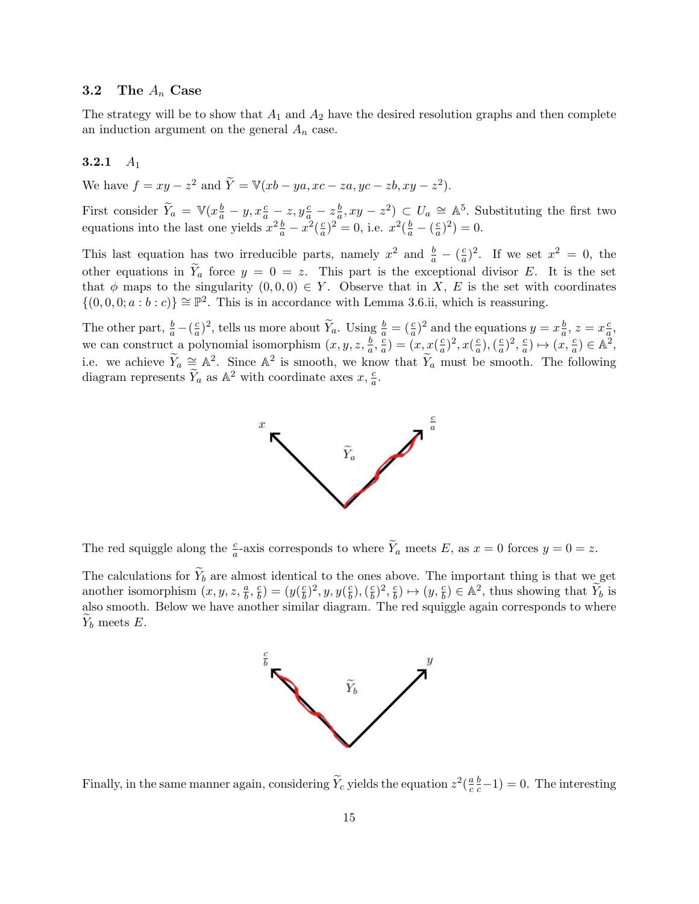#### 3.2 The  $A_n$  Case

The strategy will be to show that  $A_1$  and  $A_2$  have the desired resolution graphs and then complete an induction argument on the general  $A_n$  case.

## 3.2.1  $A_1$

We have  $f = xy - z^2$  and  $\widetilde{Y} = \mathbb{V}(xb - ya, xc - za,yc - zb, xy - z^2)$ .

First consider  $\widetilde{Y}_a = \mathbb{V}(x_a^b - y, x_a^c - z, y_a^c - z_a^b)$  $(\frac{b}{a}, xy - z^2) \subset U_a \cong \mathbb{A}^5$ . Substituting the first two equations into the last one yields  $x^2 \frac{b}{a} - x^2 \left(\frac{c}{a}\right)$  $(\frac{c}{a})^2 = 0$ , i.e.  $x^2(\frac{b}{a} - (\frac{c}{a}))$  $\frac{c}{a}$  $)^2$  $) = 0.$ 

This last equation has two irreducible parts, namely  $x^2$  and  $\frac{b}{a} - \left(\frac{c}{a}\right)$  $\frac{c}{a}$ )<sup>2</sup>. If we set  $x^2 = 0$ , the other equations in  $\widetilde{Y}_a$  force  $y = 0 = z$ . This part is the exceptional divisor E. It is the set that  $\phi$  maps to the singularity  $(0,0,0) \in Y$ . Observe that in X, E is the set with coordinates  $\{(0,0,0;a:b:c)\}\cong\mathbb{P}^2$ . This is in accordance with Lemma 3.6.ii, which is reassuring.

The other part,  $\frac{b}{a} - (\frac{c}{a})$  $\frac{c}{a}$ )<sup>2</sup>, tells us more about  $\widetilde{Y}_a$ . Using  $\frac{b}{a} = (\frac{c}{a})^2$  and the equations  $y = x\frac{b}{a}$  $\frac{b}{a}$ ,  $z = x \frac{c}{a}$  $\frac{c}{a}$ we can construct a polynomial isomorphism  $(x, y, z, \frac{b}{a}, \frac{c}{a})$  $\frac{c}{a}$ ) =  $(x, x(\frac{c}{a}))$  $(\frac{c}{a})^2, x(\frac{c}{a})$  $\frac{c}{a}$ ),  $\left(\frac{c}{a}\right)$  $(\frac{c}{a})^2, \frac{c}{a}$  $\frac{c}{a}) \mapsto (\bar{x}, \frac{c}{a}) \in \mathbb{A}^2,$ i.e. we achieve  $\widetilde{Y}_a \cong \mathbb{A}^2$ . Since  $\mathbb{A}^2$  is smooth, we know that  $\widetilde{Y}_a$  must be smooth. The following diagram represents  $\widetilde{Y}_a$  as  $\mathbb{A}^2$  with coordinate axes  $x, \frac{c}{a}$ .



The red squiggle along the  $\frac{c}{a}$ -axis corresponds to where  $\widetilde{Y}_a$  meets E, as  $x = 0$  forces  $y = 0 = z$ .

The calculations for  $\widetilde{Y}_b$  are almost identical to the ones above. The important thing is that we get another isomorphism  $(x, y, z, \frac{a}{b}, \frac{c}{b})$  $\left(\frac{c}{b}\right) = \left(y\right)\left(\frac{c}{b}\right)$  $(\frac{c}{b})^2, y, y(\frac{c}{b})$  $(\frac{c}{b}),(\frac{c}{b})$  $(\frac{c}{b})^2, \frac{c}{b}$  $\left(\frac{c}{b}\right) \mapsto (y, \frac{c}{b}) \in \mathbb{A}^2$ , thus showing that  $\widetilde{Y}_b$  is also smooth. Below we have another similar diagram. The red squiggle again corresponds to where  $Y_b$  meets E.



Finally, in the same manner again, considering  $\widetilde{Y}_c$  yields the equation  $z^2(\frac{a}{c})$ c  $\frac{b}{c} - 1$ ) = 0. The interesting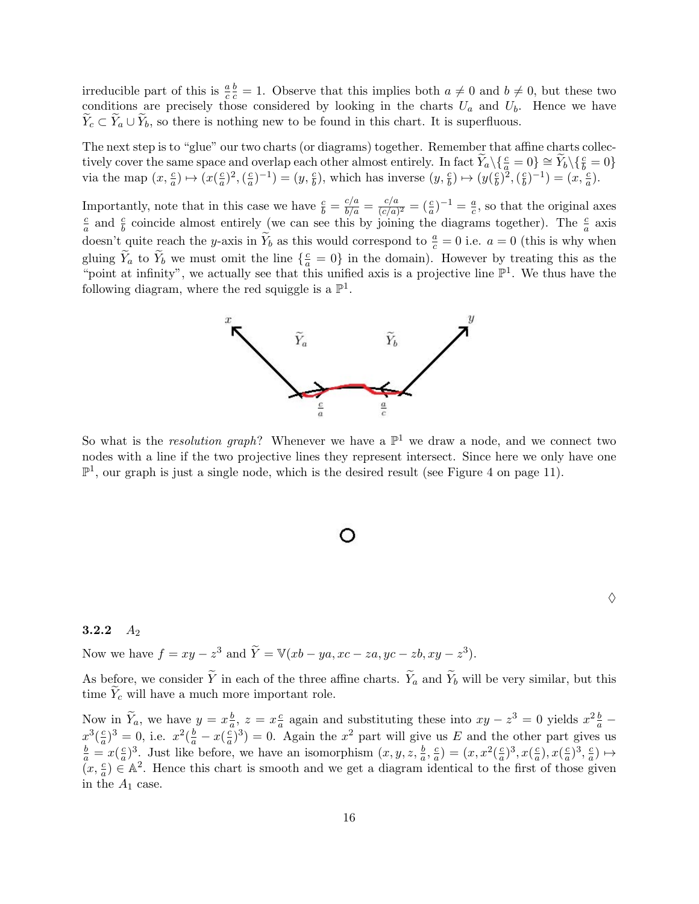irreducible part of this is  $\frac{a}{c}$  $\frac{b}{c} = 1$ . Observe that this implies both  $a \neq 0$  and  $b \neq 0$ , but these two conditions are precisely those considered by looking in the charts  $U_a$  and  $U_b$ . Hence we have  $Y_c \subset Y_a \cup Y_b$ , so there is nothing new to be found in this chart. It is superfluous.

The next step is to "glue" our two charts (or diagrams) together. Remember that affine charts collectively cover the same space and overlap each other almost entirely. In fact  $\widetilde{Y}_a \setminus \{\frac{c}{a} = 0\} \cong \widetilde{Y}_b \setminus \{\frac{c}{b} = 0\}$ via the map  $(x, \frac{c}{a}) \mapsto (x(\frac{c}{a}))$  $(\frac{c}{a})^2, (\frac{c}{a})$  $(\frac{c}{a})^{-1}$ ) =  $(y, \frac{c}{b})$ , which has inverse  $(y, \frac{c}{b}) \mapsto (y(\frac{c}{b}))$  $(\frac{c}{b})^{\vphantom{2}},(\frac{c}{b})^{\vphantom{2}}$  $(\frac{c}{b})^{-1}$  =  $(x, \frac{c}{a})$ .

Importantly, note that in this case we have  $\frac{c}{b} = \frac{c/a}{b/a} = \frac{c/a}{(c/a)}$  $\frac{c/a}{(c/a)^2} = (\frac{c}{a})^{-1} = \frac{a}{c}$  $\frac{a}{c}$ , so that the original axes c  $\frac{c}{a}$  and  $\frac{c}{b}$  coincide almost entirely (we can see this by joining the diagrams together). The  $\frac{c}{a}$  axis doesn't quite reach the y-axis in  $\widetilde{Y}_b$  as this would correspond to  $\frac{a}{c} = 0$  i.e.  $a = 0$  (this is why when gluing  $\widetilde{Y}_a$  to  $\widetilde{Y}_b$  we must omit the line  $\{\frac{c}{a} = 0\}$  in the domain). However by treating this as the "point at infinity", we actually see that this unified axis is a projective line  $\mathbb{P}^1$ . We thus have the following diagram, where the red squiggle is a  $\mathbb{P}^1$ .



So what is the *resolution graph*? Whenever we have a  $\mathbb{P}^1$  we draw a node, and we connect two nodes with a line if the two projective lines they represent intersect. Since here we only have one  $\mathbb{P}^1$ , our graph is just a single node, which is the desired result (see Figure 4 on page 11).



## 3.2.2  $A_2$

Now we have  $f = xy - z^3$  and  $\widetilde{Y} = \mathbb{V}(xb - ya, xc - za,yc - zb, xy - z^3)$ .

As before, we consider  $\tilde{Y}$  in each of the three affine charts.  $\tilde{Y}_a$  and  $\tilde{Y}_b$  will be very similar, but this time  $Y_c$  will have a much more important role.

Now in  $\widetilde{Y}_a$ , we have  $y = x \frac{b}{a}$  $\frac{b}{a}$ ,  $z = x\frac{c}{a}$  $\frac{c}{a}$  again and substituting these into  $xy - z^3 = 0$  yields  $x^2 \frac{b}{a}$  –  $x^3(\frac{c}{a}$  $(\frac{c}{a})^3 = 0$ , i.e.  $x^2(\frac{b}{a} - x(\frac{c}{a}))$  $\frac{c}{a}$ )<sup>3</sup>) = 0. Again the  $x^2$  part will give us E and the other part gives us  $\frac{b}{a} = x(\frac{c}{a})$  $\frac{c}{a}$ )<sup>3</sup>. Just like before, we have an isomorphism  $(x, y, z, \frac{b}{a}, \frac{c}{a})$  $\frac{c}{a}$ ) =  $(x, x^2(\frac{c}{a}))$  $(\frac{c}{a})^3, x(\frac{c}{a})$  $\frac{c}{a}), x(\frac{c}{a})$  $(\frac{c}{a})^3, \frac{c}{a}$  $\frac{c}{a}) \mapsto$  $(x, \frac{c}{a}) \in \mathbb{A}^2$ . Hence this chart is smooth and we get a diagram identical to the first of those given in the  $A_1$  case.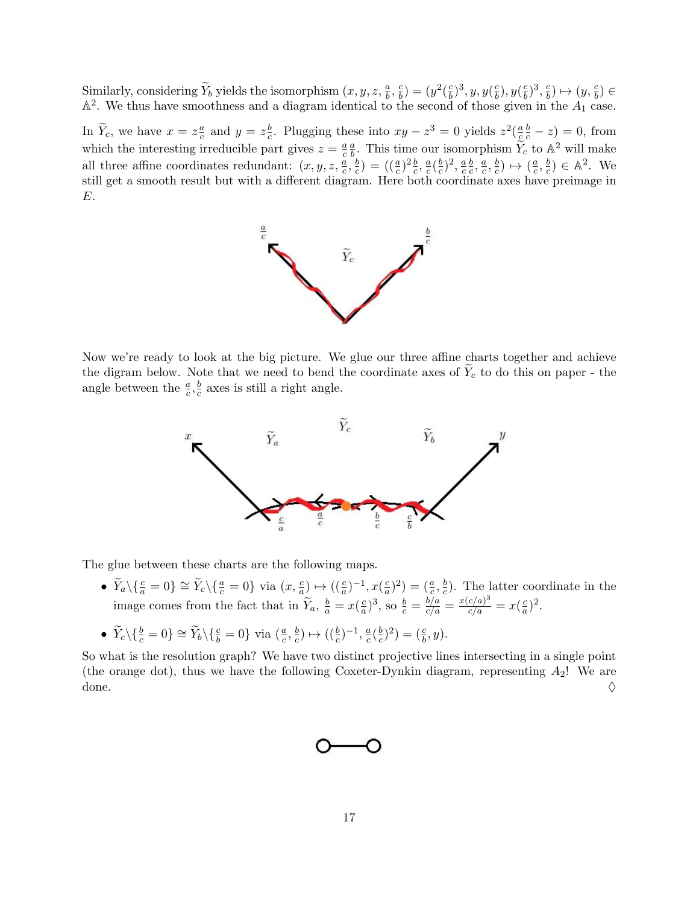Similarly, considering  $\widetilde{Y}_b$  yields the isomorphism  $(x, y, z, \frac{a}{b}, \frac{c}{b})$  $\binom{c}{b} = (y^2(\frac{c}{b}))$  $(\frac{c}{b})^3, y, y(\frac{c}{b})$  $\frac{c}{b}), y(\frac{c}{b})$  $(\frac{c}{b})^3, \frac{c}{b}$  $\left(\frac{c}{b}\right) \mapsto \left(y, \frac{c}{b}\right) \in$  $\mathbb{A}^2$ . We thus have smoothness and a diagram identical to the second of those given in the  $A_1$  case.

In  $\widetilde{Y}_c$ , we have  $x = z \frac{a}{c}$  $\frac{a}{c}$  and  $y = z\frac{b}{c}$  $\frac{b}{c}$ . Plugging these into  $xy - z^3 = 0$  yields  $z^2(\frac{a}{c})$ c  $\frac{b}{c} - z$ ) = 0, from which the interesting irreducible part gives  $z = \frac{a}{c}$ c  $\overline{a}$  $\frac{a}{b}$ . This time our isomorphism  $\widetilde{Y}_c$  to  $\mathbb{A}^2$  will make all three affine coordinates redundant:  $(x, y, z, \frac{a}{c}, \frac{b}{c})$  $(\frac{b}{c})=(\left(\frac{a}{c}\right)^2\frac{b}{c},\frac{a}{c})$  $\frac{a}{c}(\frac{b}{c}$  $(\frac{b}{c})^2, \frac{a}{c}$ c b  $\frac{b}{c}, \frac{a}{c}$  $\frac{a}{c}, \frac{b}{c}$  $(\frac{b}{c}) \mapsto (\frac{a}{c})$  $\frac{a}{c}, \frac{b}{c}$  $(\frac{b}{c}) \in \mathbb{A}^2$ . We still get a smooth result but with a different diagram. Here both coordinate axes have preimage in E.



Now we're ready to look at the big picture. We glue our three affine charts together and achieve the digram below. Note that we need to bend the coordinate axes of  $\widetilde{Y}_c$  to do this on paper - the angle between the  $\frac{a}{c}, \frac{b}{c}$  $\frac{b}{c}$  axes is still a right angle.



The glue between these charts are the following maps.

•  $\widetilde{Y}_a \setminus \{\frac{c}{a} = 0\} \cong \widetilde{Y}_c \setminus \{\frac{a}{c} = 0\}$  via  $(x, \frac{c}{a}) \mapsto ((\frac{c}{a})^{-1}, x(\frac{c}{a})$  $(\frac{c}{a})^2) = (\frac{a}{c}, \frac{b}{c})$  $(\frac{b}{c})$ . The latter coordinate in the image comes from the fact that in  $\widetilde{Y}_a$ ,  $\frac{b}{a} = x(\frac{c}{a})$  $(\frac{c}{a})^3$ , so  $\frac{b}{c} = \frac{b/a}{c/a} = \frac{x(c/a)^3}{c/a} = x(\frac{c}{a})$  $\frac{c}{a})^2$ .

• 
$$
\widetilde{Y}_c \setminus \{\frac{b}{c} = 0\} \cong \widetilde{Y}_b \setminus \{\frac{c}{b} = 0\}
$$
 via  $(\frac{a}{c}, \frac{b}{c}) \mapsto ((\frac{b}{c})^{-1}, \frac{a}{c}(\frac{b}{c})^2) = (\frac{c}{b}, y).$ 

So what is the resolution graph? We have two distinct projective lines intersecting in a single point (the orange dot), thus we have the following Coxeter-Dynkin diagram, representing  $A_2!$  We are done.  $\Diamond$ 

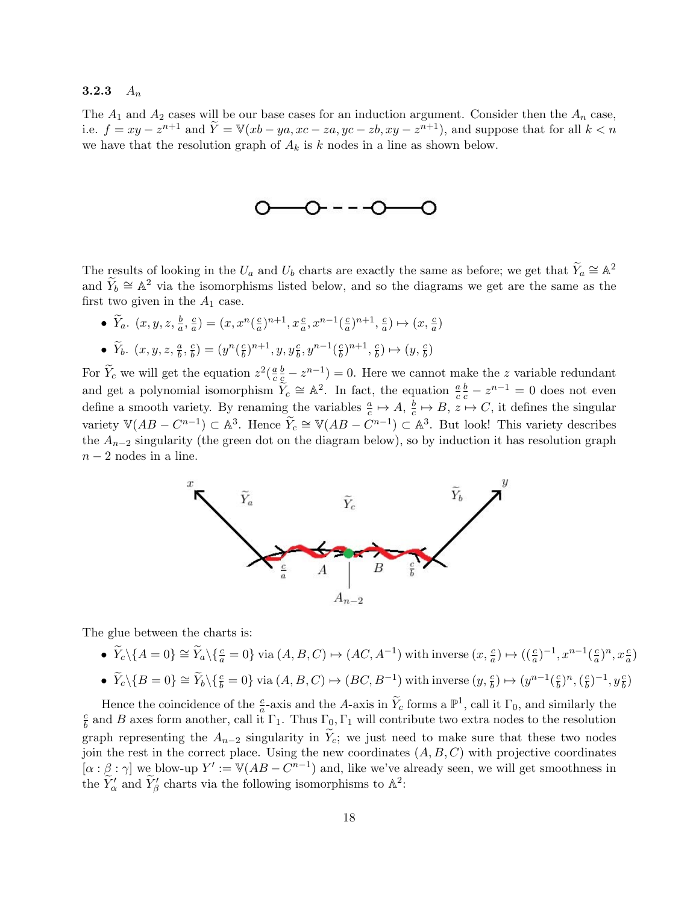#### 3.2.3  $A_n$

The  $A_1$  and  $A_2$  cases will be our base cases for an induction argument. Consider then the  $A_n$  case, i.e.  $f = xy - z^{n+1}$  and  $\widetilde{Y} = \mathbb{V}(xb - ya, xc - za, yc - zb, xy - z^{n+1})$ , and suppose that for all  $k < n$ we have that the resolution graph of  $A_k$  is k nodes in a line as shown below.



The results of looking in the  $U_a$  and  $U_b$  charts are exactly the same as before; we get that  $\widetilde{Y}_a \cong \mathbb{A}^2$ and  $\widetilde{Y}_b \cong \mathbb{A}^2$  via the isomorphisms listed below, and so the diagrams we get are the same as the first two given in the  $A_1$  case.

•  $\widetilde{Y}_a$ .  $(x, y, z, \frac{b}{a}, \frac{c}{a})$  $\frac{c}{a}$ ) =  $(x, x^n(\frac{c}{a}))$  $\frac{c}{a}$ )<sup>n+1</sup>,  $x\frac{c}{a}$ ,  $x^{n-1}$ ( $\frac{c}{a}$  $\frac{c}{a})^{n+1}, \frac{c}{a}$  $\frac{c}{a}) \mapsto (x, \frac{c}{a})$ •  $\widetilde{Y}_b$ .  $(x, y, z, \frac{a}{b}, \frac{c}{b})$  $\binom{c}{b} = (y^n(\frac{c}{b}))$  $(\frac{c}{b})^{n+1}, y, y_{\overline{b}}^c, y^{n-1}(\frac{c}{b})$  $(\frac{c}{b})^{n+1}, \frac{c}{b}$  $\frac{c}{b}) \mapsto (y, \frac{c}{b})$ 

For  $\widetilde{Y}_c$  we will get the equation  $z^2(\frac{a}{c})$ c  $(\frac{b}{c} - z^{n-1}) = 0$ . Here we cannot make the z variable redundant and get a polynomial isomorphism  $\tilde{Y}_c \cong \mathbb{A}^2$ . In fact, the equation  $\frac{a}{c}$  $\frac{b}{c} - z^{n-1} = 0$  does not even define a smooth variety. By renaming the variables  $\frac{a}{c} \mapsto A, \frac{b}{c}$  $\frac{b}{c} \mapsto B, z \mapsto C$ , it defines the singular variety  $\mathbb{V}(AB - C^{n-1}) \subset \mathbb{A}^3$ . Hence  $\widetilde{Y}_c \cong \mathbb{V}(AB - C^{n-1}) \subset \mathbb{A}^3$ . But look! This variety describes the  $A_{n-2}$  singularity (the green dot on the diagram below), so by induction it has resolution graph  $n-2$  nodes in a line.



The glue between the charts is:

- $\widetilde{Y}_c \setminus \{A = 0\} \cong \widetilde{Y}_a \setminus \{\frac{c}{a} = 0\}$  via  $(A, B, C) \mapsto (AC, A^{-1})$  with inverse  $(x, \frac{c}{a}) \mapsto ((\frac{c}{a})^{-1}, x^{n-1}(\frac{c}{a}))$  $\frac{c}{a})^n, x \frac{c}{a}$
- $\widetilde{Y}_c \setminus \{B=0\} \cong \widetilde{Y}_b \setminus \{\frac{c}{b} = 0\}$  via  $(A, B, C) \mapsto (BC, B^{-1})$  with inverse  $(y, \frac{c}{b}) \mapsto (y^{n-1}(\frac{c}{b}))$  $(\frac{c}{b})^n, (\frac{c}{b})$  $(\frac{c}{b})^{-1}, y_{\overline{b}}^{c})$

Hence the coincidence of the  $\frac{c}{a}$ -axis and the A-axis in  $\widetilde{Y}_c$  forms a  $\mathbb{P}^1$ , call it  $\Gamma_0$ , and similarly the c  $\frac{c}{b}$  and B axes form another, call it  $\Gamma_1$ . Thus  $\Gamma_0$ ,  $\Gamma_1$  will contribute two extra nodes to the resolution graph representing the  $A_{n-2}$  singularity in  $Y_c$ ; we just need to make sure that these two nodes join the rest in the correct place. Using the new coordinates  $(A, B, C)$  with projective coordinates  $[\alpha : \beta : \gamma]$  we blow-up  $Y' := \mathbb{V}(AB - C^{n-1})$  and, like we've already seen, we will get smoothness in the  $\widetilde{Y}'_{\alpha}$  and  $\widetilde{Y}'_{\beta}$  charts via the following isomorphisms to  $\mathbb{A}^2$ :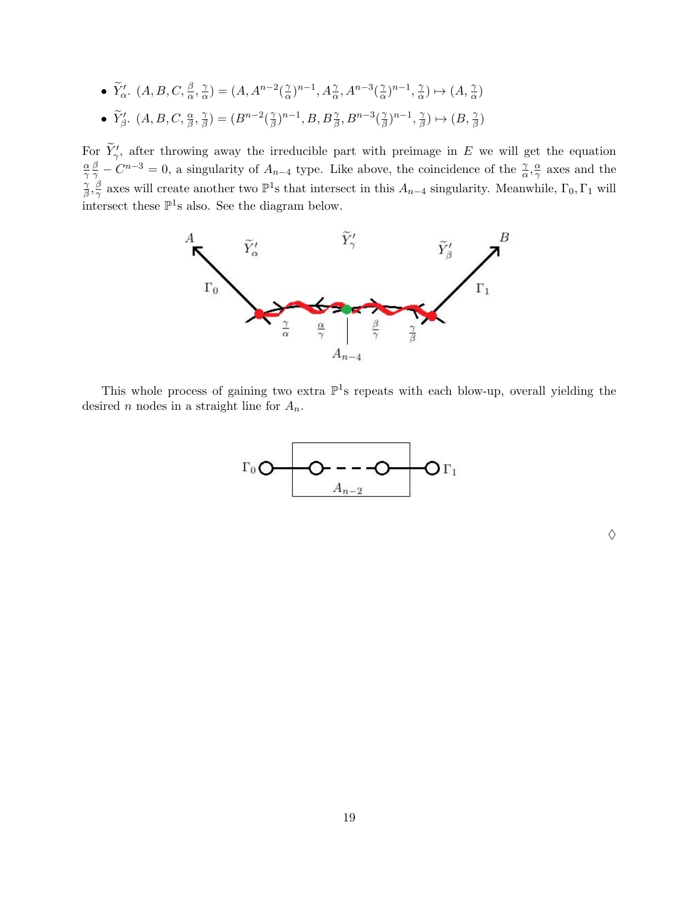\n- \n
$$
\widetilde{Y}'_{\alpha}.\ (A, B, C, \frac{\beta}{\alpha}, \frac{\gamma}{\alpha}) = (A, A^{n-2}(\frac{\gamma}{\alpha})^{n-1}, A^{\gamma}_{\alpha}, A^{n-3}(\frac{\gamma}{\alpha})^{n-1}, \frac{\gamma}{\alpha}) \mapsto (A, \frac{\gamma}{\alpha})
$$
\n
\n- \n
$$
\widetilde{Y}'_{\beta}.\ (A, B, C, \frac{\alpha}{\beta}, \frac{\gamma}{\beta}) = (B^{n-2}(\frac{\gamma}{\beta})^{n-1}, B, B^{\gamma}_{\beta}, B^{n-3}(\frac{\gamma}{\beta})^{n-1}, \frac{\gamma}{\beta}) \mapsto (B, \frac{\gamma}{\beta})
$$
\n
\n

For  $\widetilde{Y}'_{\gamma}$ , after throwing away the irreducible part with preimage in E we will get the equation α  $\overline{\gamma}$  $\frac{\beta}{\gamma}-C^{n-3}=0$ , a singularity of  $A_{n-4}$  type. Like above, the coincidence of the  $\frac{\gamma}{\alpha},\frac{\alpha}{\gamma}$  $\frac{\alpha}{\gamma}$  axes and the γ  $\frac{\gamma}{\beta}, \frac{\beta}{\gamma}$  $\frac{\beta}{\gamma}$  axes will create another two  $\mathbb{P}^1$ s that intersect in this  $A_{n-4}$  singularity. Meanwhile,  $\Gamma_0, \Gamma_1$  will intersect these  $\mathbb{P}^1$ s also. See the diagram below.



This whole process of gaining two extra  $\mathbb{P}^1$ s repeats with each blow-up, overall yielding the desired n nodes in a straight line for  $A_n$ .



 $\Diamond$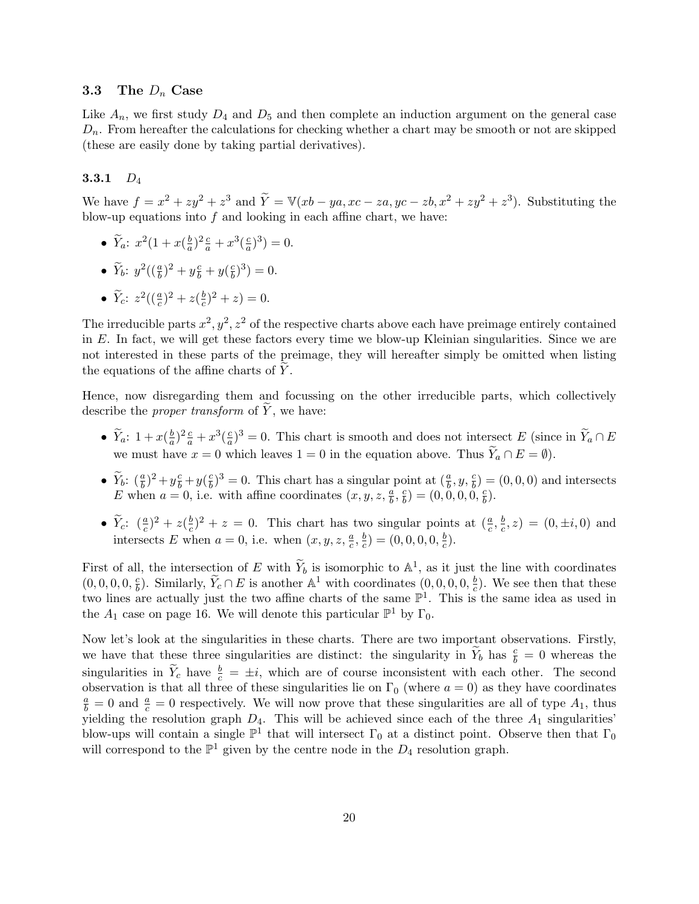#### 3.3 The  $D_n$  Case

Like  $A_n$ , we first study  $D_4$  and  $D_5$  and then complete an induction argument on the general case  $D_n$ . From hereafter the calculations for checking whether a chart may be smooth or not are skipped (these are easily done by taking partial derivatives).

## 3.3.1  $D_4$

We have  $f = x^2 + zy^2 + z^3$  and  $\tilde{Y} = \mathbb{V}(xb - ya, xc - za,yc - zb, x^2 + zy^2 + z^3)$ . Substituting the blow-up equations into  $f$  and looking in each affine chart, we have:

- $\widetilde{Y}_a$ :  $x^2(1+x(\frac{b}{a}))$  $\frac{b}{a}$ )<sup>2</sup> $\frac{c}{a}$  +  $x^3$ ( $\frac{c}{a}$  $\frac{c}{a}$  $)^3$  $) = 0.$
- $\widetilde{Y}_b$ :  $y^2((\frac{a}{b})^2 + y\frac{c}{b} + y(\frac{c}{b}))$  $(\frac{c}{b})^3$  = 0.
- $\widetilde{Y}_c$ :  $z^2\left((\frac{a}{c})^2 + z(\frac{b}{c})\right)$  $(\frac{b}{c})^2 + z = 0.$

The irreducible parts  $x^2, y^2, z^2$  of the respective charts above each have preimage entirely contained in E. In fact, we will get these factors every time we blow-up Kleinian singularities. Since we are not interested in these parts of the preimage, they will hereafter simply be omitted when listing the equations of the affine charts of  $Y$ .

Hence, now disregarding them and focussing on the other irreducible parts, which collectively describe the *proper transform* of  $Y$ , we have:

- $\widetilde{Y}_a$ :  $1 + x\left(\frac{b}{a}\right)$  $(\frac{b}{a})^2 \frac{c}{a} + x^3 (\frac{c}{a})$  $\frac{c}{a}$ )<sup>3</sup> = 0. This chart is smooth and does not intersect E (since in  $\widetilde{Y}_a \cap E$ we must have  $x = 0$  which leaves  $1 = 0$  in the equation above. Thus  $\widetilde{Y}_a \cap E = \emptyset$ .
- $\widetilde{Y}_b$ :  $(\frac{a}{b})^2 + y\frac{c}{b} + y(\frac{c}{b})$  $\frac{c}{b}$ )<sup>3</sup> = 0. This chart has a singular point at  $(\frac{a}{b}, y, \frac{c}{b}) = (0, 0, 0)$  and intersects E when  $a = 0$ , i.e. with affine coordinates  $(x, y, z, \frac{a}{b}, \frac{c}{b})$  $(\frac{c}{b}) = (0,0,0,0,\frac{c}{b})$  $\frac{c}{b}).$
- $\widetilde{Y}_c$ :  $(\frac{a}{c})^2 + z(\frac{b}{c})$  $(\frac{b}{c})^2 + z = 0$ . This chart has two singular points at  $(\frac{a}{c}, \frac{b}{c})$  $(c^b, z) = (0, \pm i, 0)$  and intersects E when  $a = 0$ , i.e. when  $(x, y, z, \frac{a}{c}, \frac{b}{c})$  $(\frac{b}{c})=(0,0,0,0,\frac{b}{c})$  $\frac{b}{c}$ .

First of all, the intersection of E with  $\widetilde{Y}_b$  is isomorphic to  $\mathbb{A}^1$ , as it just the line with coordinates  $(0, 0, 0, 0, \frac{c}{b})$  $\frac{c}{b}$ ). Similarly,  $\widetilde{Y}_c \cap E$  is another  $\mathbb{A}^1$  with coordinates  $(0,0,0,0,\frac{b}{c})$  $\frac{b}{c}$ ). We see then that these two lines are actually just the two affine charts of the same  $\mathbb{P}^1$ . This is the same idea as used in the  $A_1$  case on page 16. We will denote this particular  $\mathbb{P}^1$  by  $\Gamma_0$ .

Now let's look at the singularities in these charts. There are two important observations. Firstly, we have that these three singularities are distinct: the singularity in  $\widetilde{Y}_b$  has  $\frac{c}{b} = 0$  whereas the singularities in  $\widetilde{Y}_c$  have  $\frac{b}{c} = \pm i$ , which are of course inconsistent with each other. The second observation is that all three of these singularities lie on  $\Gamma_0$  (where  $a = 0$ ) as they have coordinates  $\frac{a}{b} = 0$  and  $\frac{a}{c} = 0$  respectively. We will now prove that these singularities are all of type  $A_1$ , thus yielding the resolution graph  $D_4$ . This will be achieved since each of the three  $A_1$  singularities' blow-ups will contain a single  $\mathbb{P}^1$  that will intersect  $\Gamma_0$  at a distinct point. Observe then that  $\Gamma_0$ will correspond to the  $\mathbb{P}^1$  given by the centre node in the  $D_4$  resolution graph.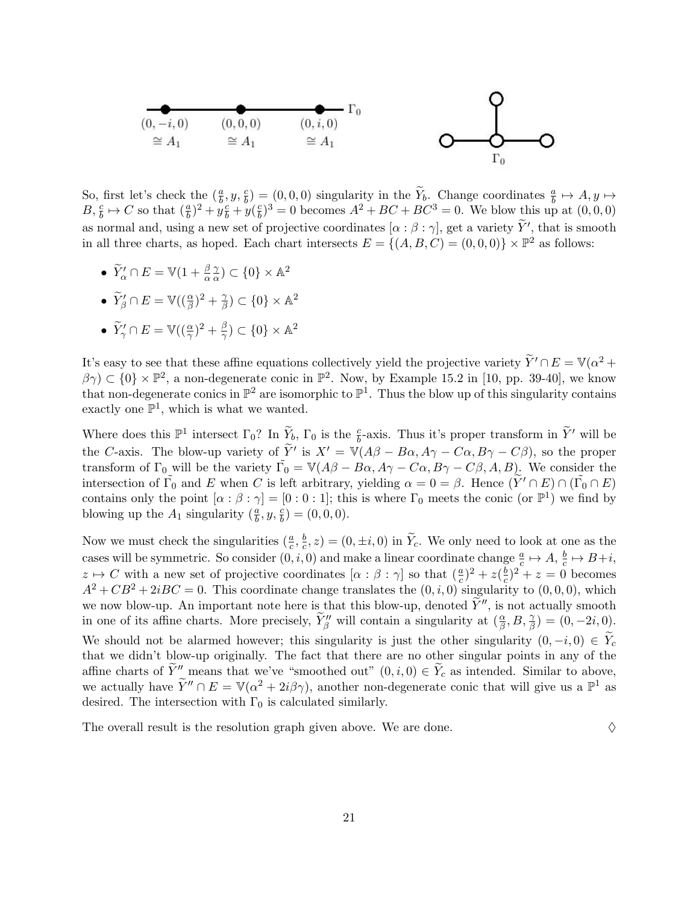

So, first let's check the  $(\frac{a}{b}, y, \frac{c}{b}) = (0, 0, 0)$  singularity in the  $\widetilde{Y}_b$ . Change coordinates  $\frac{a}{b} \mapsto A, y \mapsto$  $B, \frac{c}{b} \mapsto C$  so that  $(\frac{a}{b})^2 + y\frac{c}{b} + y\frac{c}{b}$  $\frac{c}{b}$ )<sup>3</sup> = 0 becomes  $A^2 + BC + BC^3 = 0$ . We blow this up at  $(0, 0, 0)$ as normal and, using a new set of projective coordinates  $[\alpha : \beta : \gamma]$ , get a variety  $\widetilde{Y}'$ , that is smooth in all three charts, as hoped. Each chart intersects  $E = \{(A, B, C) = (0, 0, 0)\}\times\mathbb{P}^2$  as follows:

- $\widetilde{Y}'_{\alpha} \cap E = \mathbb{V}(1 + \frac{\beta}{\alpha})$ γ  $\frac{\gamma}{\alpha}) \subset \{0\} \times \mathbb{A}^2$
- $\widetilde{Y}_{\beta}' \cap E = \mathbb{V}((\frac{\alpha}{\beta})^2 + \frac{\gamma}{\beta})$  $\frac{\gamma}{\beta}) \subset \{0\} \times \mathbb{A}^2$

• 
$$
\widetilde{Y}'_{\gamma} \cap E = \mathbb{V}((\frac{\alpha}{\gamma})^2 + \frac{\beta}{\gamma}) \subset \{0\} \times \mathbb{A}^2
$$

It's easy to see that these affine equations collectively yield the projective variety  $\widetilde{Y}' \cap E = \mathbb{V}(\alpha^2 + \alpha^2)$  $\beta\gamma$ )  $\subset$  {0}  $\times$   $\mathbb{P}^2$ , a non-degenerate conic in  $\mathbb{P}^2$ . Now, by Example 15.2 in [10, pp. 39-40], we know that non-degenerate conics in  $\mathbb{P}^2$  are isomorphic to  $\mathbb{P}^1$ . Thus the blow up of this singularity contains exactly one  $\mathbb{P}^1$ , which is what we wanted.

Where does this  $\mathbb{P}^1$  intersect  $\Gamma_0$ ? In  $\widetilde{Y}_b$ ,  $\Gamma_0$  is the  $\frac{c}{b}$ -axis. Thus it's proper transform in  $\widetilde{Y}'$  will be the C-axis. The blow-up variety of  $\widetilde{Y}'$  is  $X' = \mathbb{V}(A\beta - B\alpha, A\gamma - C\alpha, B\gamma - C\beta)$ , so the proper transform of  $\Gamma_0$  will be the variety  $\tilde{\Gamma_0} = \mathbb{V}(A\beta - B\alpha, A\gamma - C\alpha, B\gamma - C\beta, A, B)$ . We consider the intersection of  $\tilde{\Gamma_0}$  and E when C is left arbitrary, yielding  $\alpha = 0 = \beta$ . Hence  $(\tilde{Y}' \cap E) \cap (\tilde{\Gamma_0} \cap E)$ contains only the point  $[\alpha : \beta : \gamma] = [0 : 0 : 1]$ ; this is where  $\Gamma_0$  meets the conic (or  $\mathbb{P}^1$ ) we find by blowing up the  $A_1$  singularity  $(\frac{a}{b}, y, \frac{c}{b}) = (0, 0, 0)$ .

Now we must check the singularities  $(\frac{a}{c}, \frac{b}{c})$  $(\frac{b}{c}, z) = (0, \pm i, 0)$  in Y<sub>c</sub>. We only need to look at one as the cases will be symmetric. So consider  $(0, i, 0)$  and make a linear coordinate change  $\frac{a}{c} \mapsto A, \frac{b}{c}$  $\frac{b}{c} \mapsto B+i,$  $z \mapsto C$  with a new set of projective coordinates  $[\alpha : \beta : \gamma]$  so that  $(\frac{a}{c})^2 + z(\frac{b}{c})$  $(\frac{b}{c})^2 + z = 0$  becomes  $A^2 + CB^2 + 2iBC = 0$ . This coordinate change translates the  $(0, i, 0)$  singularity to  $(0, 0, 0)$ , which we now blow-up. An important note here is that this blow-up, denoted  $Y''$ , is not actually smooth in one of its affine charts. More precisely,  $\widetilde{Y}_{\beta}''$  will contain a singularity at  $(\frac{\alpha}{\beta}, B, \frac{\gamma}{\beta}) = (0, -2i, 0)$ . We should not be alarmed however; this singularity is just the other singularity  $(0, -i, 0) \in Y_c$ that we didn't blow-up originally. The fact that there are no other singular points in any of the affine charts of  $\tilde{Y}''$  means that we've "smoothed out"  $(0, i, 0) \in \tilde{Y}_c$  as intended. Similar to above, we actually have  $\widetilde{Y}'' \cap E = \mathbb{V}(\alpha^2 + 2i\beta\gamma)$ , another non-degenerate conic that will give us a  $\mathbb{P}^1$  as desired. The intersection with  $\Gamma_0$  is calculated similarly.

The overall result is the resolution graph given above. We are done.  $\Diamond$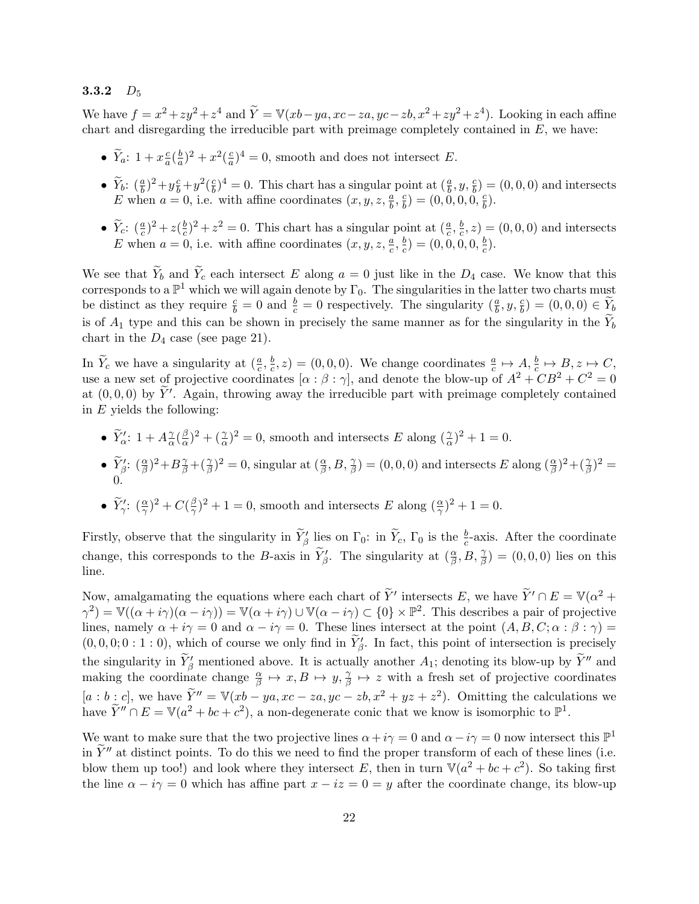## 3.3.2  $D_5$

We have  $f = x^2 + zy^2 + z^4$  and  $\widetilde{Y} = \mathbb{V}(xb - ya, xc - za, yc - zb, x^2 + zy^2 + z^4)$ . Looking in each affine chart and disregarding the irreducible part with preimage completely contained in  $E$ , we have:

- $\widetilde{Y}_a$ :  $1 + x\frac{c}{a}$  $rac{c}{a}(\frac{b}{a}$  $(\frac{b}{a})^2 + x^2(\frac{c}{a})$  $\frac{c}{a}$ <sup>2</sup> = 0, smooth and does not intersect *E*.
- $\tilde{Y}_b$ :  $(\frac{a}{b})^2 + y\frac{c}{b} + y^2(\frac{c}{b})$  $\frac{c}{b}$ )<sup>4</sup> = 0. This chart has a singular point at  $(\frac{a}{b}, y, \frac{c}{b}) = (0, 0, 0)$  and intersects E when  $a = 0$ , i.e. with affine coordinates  $(x, y, z, \frac{a}{b}, \frac{c}{b})$  $(\frac{c}{b}) = (0,0,0,0,\frac{c}{b})$  $\frac{c}{b}).$
- $\widetilde{Y}_c$ :  $(\frac{a}{c})^2 + z(\frac{b}{c})$  $(\frac{b}{c})^2 + z^2 = 0$ . This chart has a singular point at  $(\frac{a}{c}, \frac{b}{c})$  $(\frac{b}{c}, z) = (0, 0, 0)$  and intersects E when  $a = 0$ , i.e. with affine coordinates  $(x, y, z, \frac{a}{c}, \frac{b}{c})$  $(\frac{b}{c})=(0,0,0,0,\frac{b}{c})$  $\frac{b}{c}$ .

We see that  $\widetilde{Y}_b$  and  $\widetilde{Y}_c$  each intersect E along  $a = 0$  just like in the  $D_4$  case. We know that this corresponds to a  $\mathbb{P}^1$  which we will again denote by  $\Gamma_0$ . The singularities in the latter two charts must be distinct as they require  $\frac{c}{b} = 0$  and  $\frac{b}{c} = 0$  respectively. The singularity  $(\frac{a}{b}, y, \frac{c}{b}) = (0, 0, 0) \in \widetilde{Y}_b$ is of  $A_1$  type and this can be shown in precisely the same manner as for the singularity in the  $Y_b$ chart in the  $D_4$  case (see page 21).

In  $\widetilde{Y}_c$  we have a singularity at  $(\frac{a}{c}, \frac{b}{c})$  $(\frac{b}{c}, z) = (0, 0, 0)$ . We change coordinates  $\frac{a}{c} \mapsto A, \frac{b}{c} \mapsto B, z \mapsto C$ , use a new set of projective coordinates  $\alpha : \beta : \gamma$ , and denote the blow-up of  $A^2 + CB^2 + C^2 = 0$ at  $(0, 0, 0)$  by  $\tilde{Y}'$ . Again, throwing away the irreducible part with preimage completely contained in  $E$  yields the following:

- $\widetilde{Y}'_{{\alpha}}$ : 1 +  $A^{\gamma}_{{\alpha}}$  $\frac{\gamma}{\alpha}$ ( $\frac{\beta}{\alpha}$  $\frac{\beta}{\alpha}$ )<sup>2</sup> + ( $\frac{\gamma}{\alpha}$ )<sup>2</sup> = 0, smooth and intersects E along ( $\frac{\gamma}{\alpha}$ )<sup>2</sup> + 1 = 0.
- $\widetilde{Y}_{\beta}': (\frac{\alpha}{\beta})^2 + B_{\beta}^{\gamma} + (\frac{\gamma}{\beta})^2 = 0$ , singular at  $(\frac{\alpha}{\beta}, B, \frac{\gamma}{\beta}) = (0, 0, 0)$  and intersects E along  $(\frac{\alpha}{\beta})^2 + (\frac{\gamma}{\beta})^2 =$ 0.

• 
$$
\widetilde{Y}'_\gamma
$$
:  $(\frac{\alpha}{\gamma})^2 + C(\frac{\beta}{\gamma})^2 + 1 = 0$ , smooth and intersects E along  $(\frac{\alpha}{\gamma})^2 + 1 = 0$ .

Firstly, observe that the singularity in  $\widetilde{Y}_{\beta}'$  lies on  $\Gamma_0$ : in  $\widetilde{Y}_c$ ,  $\Gamma_0$  is the  $\frac{b}{c}$ -axis. After the coordinate change, this corresponds to the B-axis in  $\widetilde{Y}_{\beta}'$ . The singularity at  $(\frac{\alpha}{\beta}, B, \frac{\gamma}{\beta}) = (0, 0, 0)$  lies on this line.

Now, amalgamating the equations where each chart of  $\widetilde{Y}'$  intersects E, we have  $\widetilde{Y}' \cap E = \mathbb{V}(\alpha^2 + \alpha^2)$  $\gamma^2$ ) = V( $(\alpha + i\gamma)(\alpha - i\gamma)$ ) = V $(\alpha + i\gamma) \cup V(\alpha - i\gamma) \subset \{0\} \times \mathbb{P}^2$ . This describes a pair of projective lines, namely  $\alpha + i\gamma = 0$  and  $\alpha - i\gamma = 0$ . These lines intersect at the point  $(A, B, C; \alpha : \beta : \gamma) =$  $(0,0,0;0:1:0)$ , which of course we only find in  $\widetilde{Y}_{\beta}$ . In fact, this point of intersection is precisely the singularity in  $\widetilde{Y}'_{\beta}$  mentioned above. It is actually another  $A_1$ ; denoting its blow-up by  $\widetilde{Y}''$  and making the coordinate change  $\frac{\alpha}{\beta} \mapsto x, B \mapsto y, \frac{\gamma}{\beta}$  $\frac{\gamma}{\beta} \mapsto z$  with a fresh set of projective coordinates  $[a:b:c]$ , we have  $\widetilde{Y}'' = \mathbb{V}(xb - ya, xc - za, yc - zb, x^2 + yz + z^2)$ . Omitting the calculations we have  $\widetilde{Y}'' \cap E = \mathbb{V}(a^2 + bc + c^2)$ , a non-degenerate conic that we know is isomorphic to  $\mathbb{P}^1$ .

We want to make sure that the two projective lines  $\alpha + i\gamma = 0$  and  $\alpha - i\gamma = 0$  now intersect this  $\mathbb{P}^1$ in  $\tilde{Y}''$  at distinct points. To do this we need to find the proper transform of each of these lines (i.e. blow them up too!) and look where they intersect E, then in turn  $\mathbb{V}(a^2 + bc + c^2)$ . So taking first the line  $\alpha - i\gamma = 0$  which has affine part  $x - iz = 0 = y$  after the coordinate change, its blow-up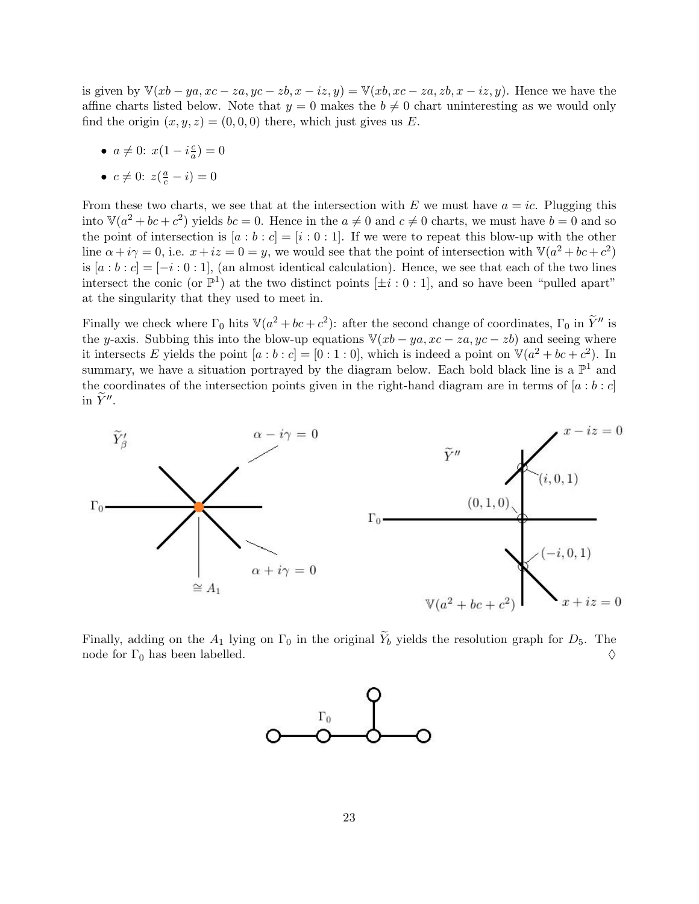is given by  $\mathbb{V}(xb - ya, xc - za, yc - zb, x - iz, y) = \mathbb{V}(xb, xc - za, zb, x - iz, y)$ . Hence we have the affine charts listed below. Note that  $y = 0$  makes the  $b \neq 0$  chart uninteresting as we would only find the origin  $(x, y, z) = (0, 0, 0)$  there, which just gives us E.

•  $a \neq 0$ :  $x(1 - i\frac{c}{a})$  $\frac{c}{a}$ ) = 0

$$
\bullet\;\; c\neq 0\text{:}\;\; z\big(\tfrac{a}{c}-i\big)=0
$$

From these two charts, we see that at the intersection with E we must have  $a = ic$ . Plugging this into  $\mathbb{V}(a^2+bc+c^2)$  yields  $bc=0$ . Hence in the  $a\neq 0$  and  $c\neq 0$  charts, we must have  $b=0$  and so the point of intersection is  $[a : b : c] = [i : 0 : 1]$ . If we were to repeat this blow-up with the other line  $\alpha + i\gamma = 0$ , i.e.  $x + iz = 0 = y$ , we would see that the point of intersection with  $\mathbb{V}(a^2 + bc + c^2)$ is  $[a:b:c] = [-i:0:1]$ , (an almost identical calculation). Hence, we see that each of the two lines intersect the conic (or  $\mathbb{P}^1$ ) at the two distinct points  $[\pm i:0:1]$ , and so have been "pulled apart" at the singularity that they used to meet in.

Finally we check where  $\Gamma_0$  hits  $\mathbb{V}(a^2 + bc + c^2)$ : after the second change of coordinates,  $\Gamma_0$  in  $\widetilde{Y}''$  is the y-axis. Subbing this into the blow-up equations  $\mathbb{V}(xb - ya, xc - za,yc - zb)$  and seeing where it intersects E yields the point  $[a:b:c] = [0:1:0]$ , which is indeed a point on  $\mathbb{V}(a^2 + bc + c^2)$ . In summary, we have a situation portrayed by the diagram below. Each bold black line is a  $\mathbb{P}^1$  and the coordinates of the intersection points given in the right-hand diagram are in terms of  $[a : b : c]$ in  $\widetilde{Y}''$ .



Finally, adding on the  $A_1$  lying on  $\Gamma_0$  in the original  $\widetilde{Y}_b$  yields the resolution graph for  $D_5$ . The node for  $\Gamma_0$  has been labelled. node for  $\Gamma_0$  has been labelled.

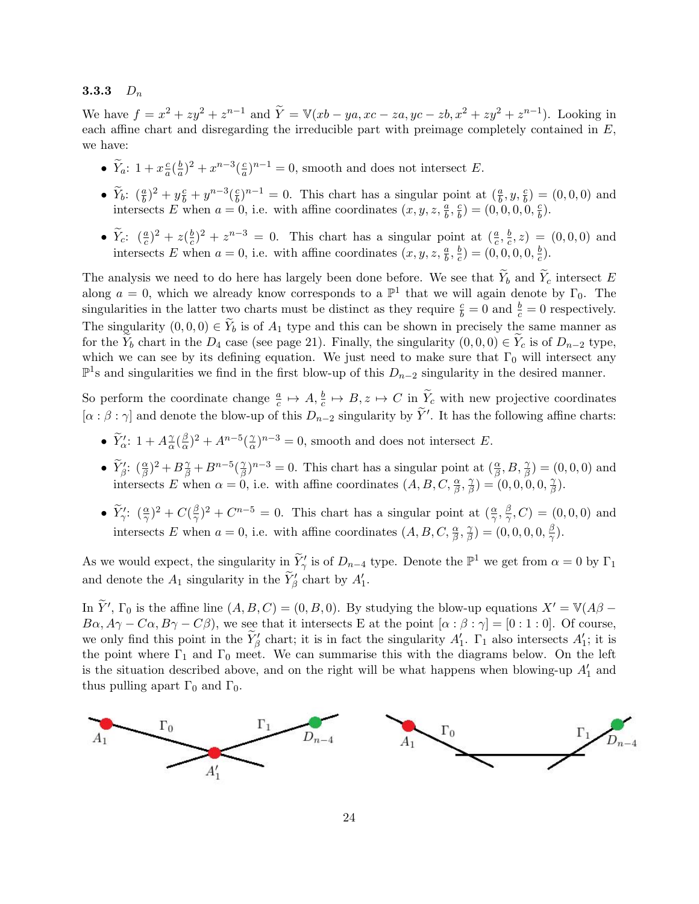## 3.3.3  $D_n$

We have  $f = x^2 + zy^2 + z^{n-1}$  and  $\widetilde{Y} = \mathbb{V}(xb - ya, xc - za, yc - zb, x^2 + zy^2 + z^{n-1})$ . Looking in each affine chart and disregarding the irreducible part with preimage completely contained in  $E$ , we have:

- $\widetilde{Y}_a$ :  $1 + x\frac{c}{a}$  $\frac{c}{a}$  $\left(\frac{b}{a}\right)$  $\frac{b}{a}$ )<sup>2</sup> +  $x^{n-3}$ ( $\frac{c}{a}$  $\frac{c}{a}$ )<sup>n-1</sup> = 0, smooth and does not intersect E.
- $\widetilde{Y}_b$ :  $(\frac{a}{b})^2 + y\frac{c}{b} + y^{n-3}(\frac{c}{b})$  $\frac{\varepsilon}{b}$ ,  $h^{-1} = 0$ . This chart has a singular point at  $(\frac{a}{b}, y, \frac{c}{b}) = (0, 0, 0)$  and intersects E when  $a = 0$ , i.e. with affine coordinates  $(x, y, z, \frac{a}{b}, \frac{c}{b})$  $\left(\frac{c}{b}\right) = (0,0,0,0,\frac{c}{b})$  $\frac{c}{b}).$
- $\widetilde{Y}_c$ :  $(\frac{a}{c})^2 + z(\frac{b}{c})$  $(\frac{b}{c})^2 + z^{n-3} = 0$ . This chart has a singular point at  $(\frac{a}{c}, \frac{b}{c})$  $(c^b, z) = (0, 0, 0)$  and intersects E when  $a = 0$ , i.e. with affine coordinates  $(x, y, z, \frac{a}{b}, \frac{b}{c})$  $(\frac{b}{c})=(0,0,0,0,\frac{b}{c})$  $\frac{b}{c}$ .

The analysis we need to do here has largely been done before. We see that  $\widetilde{Y}_b$  and  $\widetilde{Y}_c$  intersect E along  $a = 0$ , which we already know corresponds to a  $\mathbb{P}^1$  that we will again denote by  $\Gamma_0$ . The singularities in the latter two charts must be distinct as they require  $\frac{c}{b} = 0$  and  $\frac{b}{c} = 0$  respectively. The singularity  $(0, 0, 0) \in Y_b$  is of  $A_1$  type and this can be shown in precisely the same manner as for the  $Y_b$  chart in the  $D_4$  case (see page 21). Finally, the singularity  $(0, 0, 0) \in Y_c$  is of  $D_{n-2}$  type, which we can see by its defining equation. We just need to make sure that  $\Gamma_0$  will intersect any  $\mathbb{P}^1$ s and singularities we find in the first blow-up of this  $D_{n-2}$  singularity in the desired manner.

So perform the coordinate change  $\frac{a}{c} \mapsto A, \frac{b}{c} \mapsto B, z \mapsto C$  in  $\widetilde{Y}_c$  with new projective coordinates  $[\alpha : \beta : \gamma]$  and denote the blow-up of this  $D_{n-2}$  singularity by  $\tilde{Y}'$ . It has the following affine charts:

- $\widetilde{Y}'_{{\alpha}}$ : 1 +  $A^{\gamma}_{{\alpha}}$  $\frac{\gamma}{\alpha}$  (  $\frac{\beta}{\alpha}$  $(\frac{\beta}{\alpha})^2 + A^{n-5}(\frac{\gamma}{\alpha})$  $(\frac{\gamma}{\alpha})^{n-3} = 0$ , smooth and does not intersect E.
- $\widetilde{Y}_{\beta}^{\prime}$ :  $(\frac{\alpha}{\beta})^2 + B\frac{\gamma}{\beta} + B^{n-5}(\frac{\gamma}{\beta})$  $(\frac{\gamma}{\beta})^{n-3} = 0$ . This chart has a singular point at  $(\frac{\alpha}{\beta}, B, \frac{\gamma}{\beta}) = (0, 0, 0)$  and intersects E when  $\alpha = 0$ , i.e. with affine coordinates  $(A, B, C, \frac{\alpha}{\beta}, \frac{\gamma}{\beta})$  $(\frac{\gamma}{\beta})=(0,0,0,0,\frac{\gamma}{\beta})$  $\frac{\gamma}{\beta}).$
- $\widetilde{Y}'_\gamma$ :  $(\frac{\alpha}{\gamma})^2 + C(\frac{\beta}{\gamma})$  $(\frac{\beta}{\gamma})^2 + C^{n-5} = 0$ . This chart has a singular point at  $(\frac{\alpha}{\gamma}, \frac{\beta}{\gamma})$  $(\frac{\beta}{\gamma}, C) = (0, 0, 0)$  and intersects E when  $a = 0$ , i.e. with affine coordinates  $(A, B, C, \frac{\alpha}{\beta}, \frac{\gamma}{\beta})$  $(\frac{\gamma}{\beta})=(0,0,0,0,\frac{\beta}{\gamma})$  $\frac{\beta}{\gamma}).$

As we would expect, the singularity in  $\widetilde{Y}'_{\gamma}$  is of  $D_{n-4}$  type. Denote the  $\mathbb{P}^1$  we get from  $\alpha = 0$  by  $\Gamma_1$ and denote the  $A_1$  singularity in the  $\widetilde{Y}_{\beta}$  chart by  $A'_1$ .

In  $\widetilde{Y}'$ ,  $\Gamma_0$  is the affine line  $(A, B, C) = (0, B, 0)$ . By studying the blow-up equations  $X' = V(A\beta - \Gamma_0)$  $B\alpha$ ,  $A\gamma - C\alpha$ ,  $B\gamma - C\beta$ , we see that it intersects E at the point  $[\alpha : \beta : \gamma] = [0 : 1 : 0]$ . Of course, we only find this point in the  $\widetilde{Y}_{\beta}$  chart; it is in fact the singularity  $A'_1$ .  $\Gamma_1$  also intersects  $A'_1$ ; it is the point where  $\Gamma_1$  and  $\Gamma_0$  meet. We can summarise this with the diagrams below. On the left is the situation described above, and on the right will be what happens when blowing-up  $A'_1$  and thus pulling apart  $\Gamma_0$  and  $\Gamma_0$ .

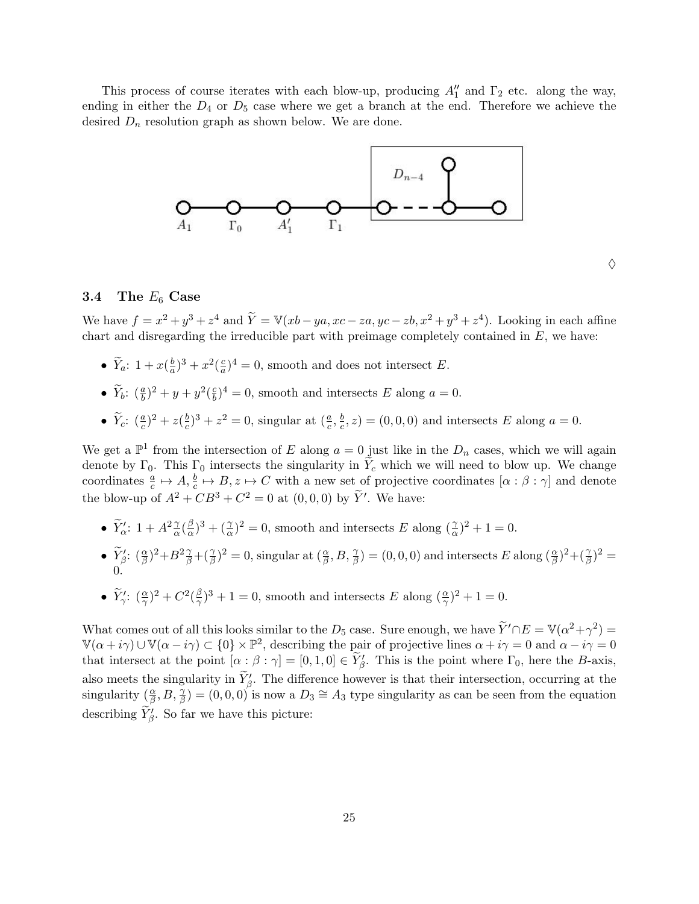This process of course iterates with each blow-up, producing  $A''_1$  and  $\Gamma_2$  etc. along the way, ending in either the  $D_4$  or  $D_5$  case where we get a branch at the end. Therefore we achieve the desired  $D_n$  resolution graph as shown below. We are done.



#### $\Diamond$

#### 3.4 The  $E_6$  Case

We have  $f = x^2 + y^3 + z^4$  and  $\tilde{Y} = \mathbb{V}(xb - ya, xc - za, yc - zb, x^2 + y^3 + z^4)$ . Looking in each affine chart and disregarding the irreducible part with preimage completely contained in  $E$ , we have:

- $\widetilde{Y}_a$ : 1 +  $x(\frac{b}{a})$  $\frac{b}{a}$ )<sup>3</sup> +  $x^2$ ( $\frac{c}{a}$  $\frac{c}{a}$ <sup>2</sup> = 0, smooth and does not intersect E.
- $\widetilde{Y}_b$ :  $(\frac{a}{b})^2 + y + y^2(\frac{c}{b})$  $\frac{c}{b}$ )<sup>4</sup> = 0, smooth and intersects E along a = 0.
- $\widetilde{Y}_c$ :  $(\frac{a}{c})^2 + z(\frac{b}{c})$  $(\frac{b}{c})^3 + z^2 = 0$ , singular at  $(\frac{a}{c}, \frac{b}{c})$  $(\frac{b}{c}, z) = (0, 0, 0)$  and intersects E along  $a = 0$ .

We get a  $\mathbb{P}^1$  from the intersection of E along  $a = 0$  just like in the  $D_n$  cases, which we will again denote by  $\Gamma_0$ . This  $\Gamma_0$  intersects the singularity in  $\widetilde{Y}_c$  which we will need to blow up. We change coordinates  $\frac{a}{c} \mapsto A, \frac{b}{c} \mapsto B, z \mapsto C$  with a new set of projective coordinates  $[\alpha : \beta : \gamma]$  and denote the blow-up of  $A^2 + CB^3 + C^2 = 0$  at  $(0,0,0)$  by  $\widetilde{Y}'$ . We have:

- $\widetilde{Y}'_{{\alpha}}$ : 1 +  $A^2\frac{\gamma}{{\alpha}}(\frac{\beta}{{\alpha}})$  $(\frac{\beta}{\alpha})^3 + (\frac{\gamma}{\alpha})^2 = 0$ , smooth and intersects E along  $(\frac{\gamma}{\alpha})^2 + 1 = 0$ .
- $\widetilde{Y}_{\beta}^{\prime}$ :  $(\frac{\alpha}{\beta})^2 + B^2 \frac{\gamma}{\beta} + (\frac{\gamma}{\beta})^2 = 0$ , singular at  $(\frac{\alpha}{\beta}, B, \frac{\gamma}{\beta}) = (0, 0, 0)$  and intersects E along  $(\frac{\alpha}{\beta})^2 + (\frac{\gamma}{\beta})^2 =$ 0.
- $\widetilde{Y}'_\gamma$ :  $(\frac{\alpha}{\gamma})^2 + C^2(\frac{\beta}{\gamma})$  $(\frac{\beta}{\gamma})^3 + 1 = 0$ , smooth and intersects E along  $(\frac{\alpha}{\gamma})^2 + 1 = 0$ .

What comes out of all this looks similar to the D<sub>5</sub> case. Sure enough, we have  $\widetilde{Y}' \cap E = \mathbb{V}(\alpha^2 + \gamma^2) =$  $\mathbb{V}(\alpha+i\gamma) \cup \mathbb{V}(\alpha-i\gamma) \subset \{0\} \times \mathbb{P}^2$ , describing the pair of projective lines  $\alpha+i\gamma=0$  and  $\alpha-i\gamma=0$ that intersect at the point  $[\alpha : \beta : \gamma] = [0, 1, 0] \in \widetilde{Y}_{\beta}'$ . This is the point where  $\Gamma_0$ , here the B-axis, also meets the singularity in  $\widetilde{Y}_{\beta}$ . The difference however is that their intersection, occurring at the singularity  $(\frac{\alpha}{\beta}, B, \frac{\gamma}{\beta}) = (0, 0, 0)$  is now a  $D_3 \cong A_3$  type singularity as can be seen from the equation describing  $\widetilde{Y}_{\beta}'$ . So far we have this picture: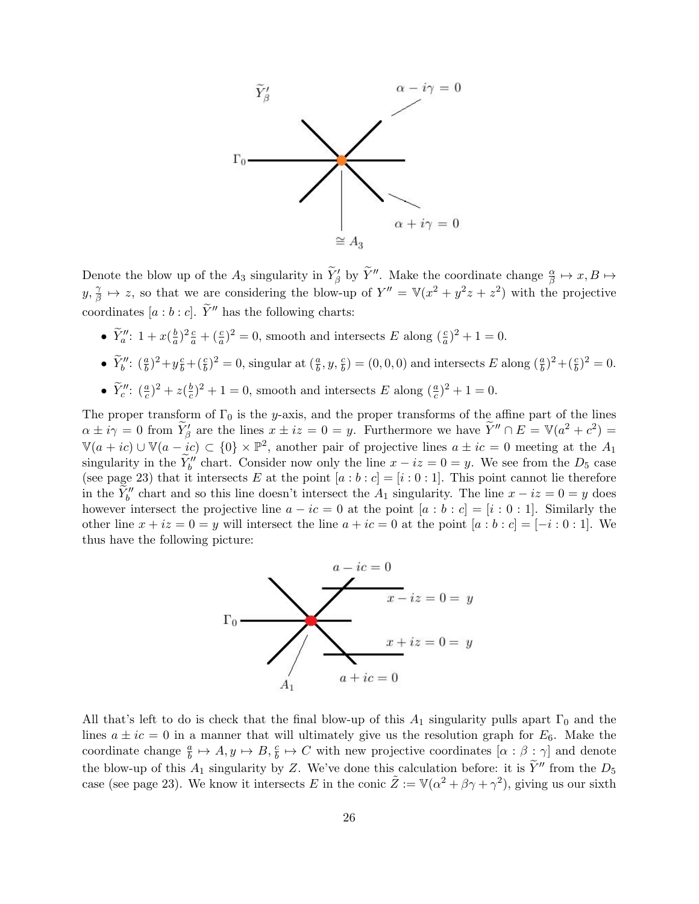

Denote the blow up of the  $A_3$  singularity in  $\widetilde{Y}_{\beta}'$  by  $\widetilde{Y}''$ . Make the coordinate change  $\frac{\alpha}{\beta} \mapsto x, B \mapsto$  $y, \frac{\gamma}{\beta}$  $\frac{\gamma}{\beta} \mapsto z$ , so that we are considering the blow-up of  $Y'' = \mathbb{V}(x^2 + y^2z + z^2)$  with the projective coordinates [a : b : c].  $\widetilde{Y}''$  has the following charts:

- $\widetilde{Y}_a^{\prime\prime}$ :  $1 + x(\frac{b}{a})$  $\frac{b}{a}$ )<sup>2</sup> $\frac{c}{a}$  + ( $\frac{c}{a}$ )<sup>2</sup> = 0, smooth and intersects E along ( $\frac{c}{a}$ )<sup>2</sup> + 1 = 0.
- $\tilde{Y}_b''$ :  $(\frac{a}{b})^2 + y\frac{c}{b} + (\frac{c}{b})^2 = 0$ , singular at  $(\frac{a}{b}, y, \frac{c}{b}) = (0, 0, 0)$  and intersects E along  $(\frac{a}{b})^2 + (\frac{c}{b})^2 = 0$ .
- $\widetilde{Y}''_c: (\frac{a}{c})^2 + z(\frac{b}{c})$  $(\frac{b}{c})^2 + 1 = 0$ , smooth and intersects E along  $(\frac{a}{c})^2 + 1 = 0$ .

The proper transform of  $\Gamma_0$  is the y-axis, and the proper transforms of the affine part of the lines  $\alpha \pm i\gamma = 0$  from  $\widetilde{Y}_{\beta}'$  are the lines  $x \pm iz = 0 = y$ . Furthermore we have  $\widetilde{Y}'' \cap E = \mathbb{V}(a^2 + c^2) =$  $\mathbb{V}(a+ic) \cup \mathbb{V}(a-ic) \subset \{0\} \times \mathbb{P}^2$ , another pair of projective lines  $a \pm ic = 0$  meeting at the  $A_1$ singularity in the  $\widetilde{Y}_b''$  chart. Consider now only the line  $x - iz = 0 = y$ . We see from the D<sub>5</sub> case (see page 23) that it intersects E at the point  $[a:b:c] = [i:0:1]$ . This point cannot lie therefore in the  $\widetilde{Y}_b''$  chart and so this line doesn't intersect the  $A_1$  singularity. The line  $x - iz = 0 = y$  does however intersect the projective line  $a - ic = 0$  at the point  $[a : b : c] = [i : 0 : 1]$ . Similarly the other line  $x + iz = 0 = y$  will intersect the line  $a + ic = 0$  at the point  $[a : b : c] = [-i : 0 : 1]$ . We thus have the following picture:



All that's left to do is check that the final blow-up of this  $A_1$  singularity pulls apart  $\Gamma_0$  and the lines  $a \pm ic = 0$  in a manner that will ultimately give us the resolution graph for  $E_6$ . Make the coordinate change  $\frac{a}{b} \mapsto A, y \mapsto B, \frac{c}{b} \mapsto C$  with new projective coordinates  $[\alpha : \beta : \gamma]$  and denote the blow-up of this  $A_1$  singularity by Z. We've done this calculation before: it is  $\tilde{Y}''$  from the  $D_5$ case (see page 23). We know it intersects E in the conic  $\tilde{Z} := \mathbb{V}(\alpha^2 + \beta \gamma + \gamma^2)$ , giving us our sixth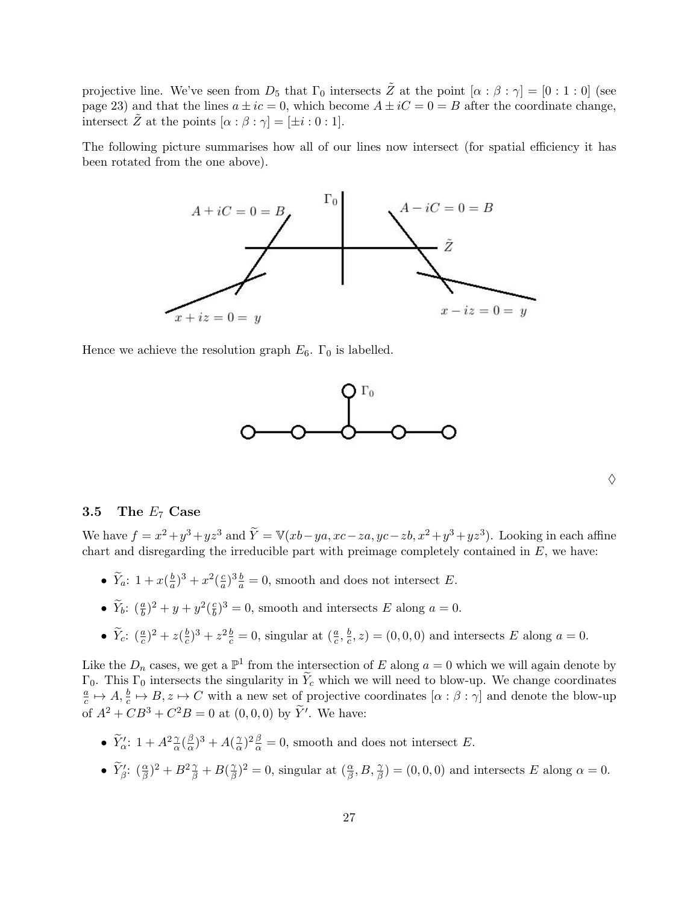projective line. We've seen from  $D_5$  that  $\Gamma_0$  intersects  $\tilde{Z}$  at the point  $[\alpha : \beta : \gamma] = [0 : 1 : 0]$  (see page 23) and that the lines  $a \pm ic = 0$ , which become  $A \pm ic = 0 = B$  after the coordinate change, intersect  $\tilde{Z}$  at the points  $[\alpha : \beta : \gamma] = [\pm i : 0 : 1].$ 

The following picture summarises how all of our lines now intersect (for spatial efficiency it has been rotated from the one above).



Hence we achieve the resolution graph  $E_6$ .  $\Gamma_0$  is labelled.



| I | i<br>I      |
|---|-------------|
|   | I<br>I<br>I |
|   |             |

## 3.5 The  $E_7$  Case

We have  $f = x^2 + y^3 + yz^3$  and  $\widetilde{Y} = \mathbb{V}(xb - ya, xc - za, yc - zb, x^2 + y^3 + yz^3)$ . Looking in each affine chart and disregarding the irreducible part with preimage completely contained in  $E$ , we have:

- $\widetilde{Y}_a$ : 1 +  $x(\frac{b}{a})$  $\frac{b}{a}$ )<sup>3</sup> +  $x^2$ ( $\frac{c}{a}$  $\frac{c}{a}$ , all  $\frac{b}{a} = 0$ , smooth and does not intersect E.
- $\widetilde{Y}_b$ :  $(\frac{a}{b})^2 + y + y^2(\frac{c}{b})$  $\frac{c}{b}$ )<sup>3</sup> = 0, smooth and intersects E along a = 0.
- $\widetilde{Y}_c$ :  $(\frac{a}{c})^2 + z(\frac{b}{c})$  $(\frac{b}{c})^3 + z^2 \frac{b}{c} = 0$ , singular at  $(\frac{a}{c}, \frac{b}{c})$  $(\frac{b}{c}, z) = (0, 0, 0)$  and intersects E along  $a = 0$ .

Like the  $D_n$  cases, we get a  $\mathbb{P}^1$  from the intersection of E along  $a = 0$  which we will again denote by Γ<sub>0</sub>. This Γ<sub>0</sub> intersects the singularity in  $\tilde{Y}_c$  which we will need to blow-up. We change coordinates a  $\frac{a}{c} \mapsto A, \frac{b}{c} \mapsto B, z \mapsto C$  with a new set of projective coordinates  $[\alpha : \beta : \gamma]$  and denote the blow-up of  $A^2 + CB^3 + C^2B = 0$  at  $(0,0,0)$  by  $\tilde{Y}'$ . We have:

- $\widetilde{Y}'_{{\alpha}}$ : 1 +  $A^2\frac{\gamma}{{\alpha}}(\frac{\beta}{{\alpha}})$  $(\frac{\beta}{\alpha})^3 + A(\frac{\gamma}{\alpha})$  $\frac{\gamma}{\alpha}$ )<sup>2</sup> $\frac{\beta}{\alpha}$  = 0, smooth and does not intersect E.
- $\widetilde{Y}_{\beta}$ :  $(\frac{\alpha}{\beta})^2 + B^2 \frac{\gamma}{\beta} + B(\frac{\gamma}{\beta})$  $(\frac{\gamma}{\beta})^2 = 0$ , singular at  $(\frac{\alpha}{\beta}, B, \frac{\gamma}{\beta}) = (0, 0, 0)$  and intersects E along  $\alpha = 0$ .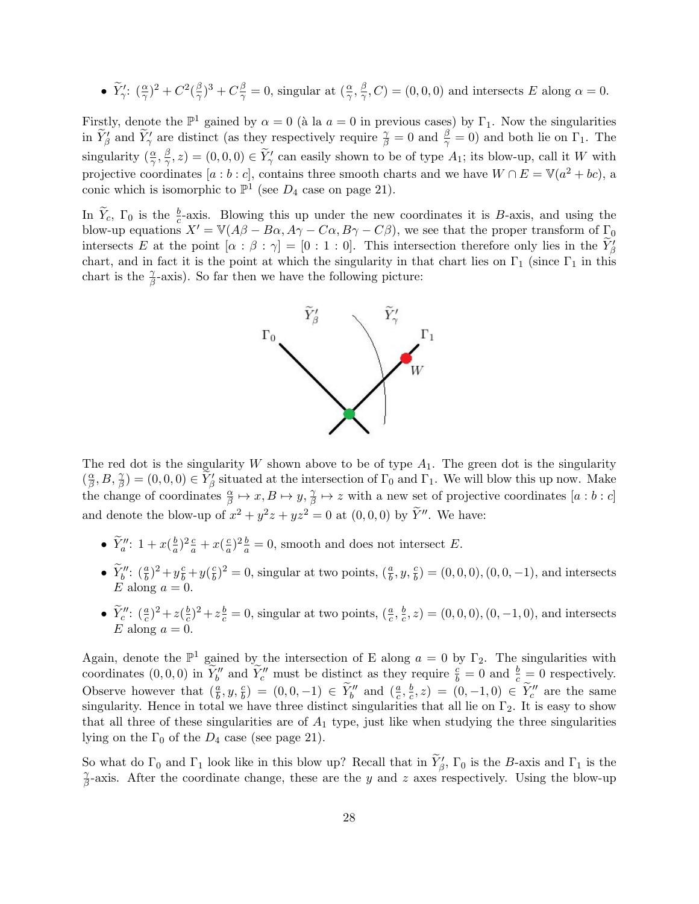• 
$$
\widetilde{Y}'_2
$$
:  $(\frac{\alpha}{\gamma})^2 + C^2(\frac{\beta}{\gamma})^3 + C\frac{\beta}{\gamma} = 0$ , singular at  $(\frac{\alpha}{\gamma}, \frac{\beta}{\gamma}, C) = (0, 0, 0)$  and intersects E along  $\alpha = 0$ .

Firstly, denote the  $\mathbb{P}^1$  gained by  $\alpha = 0$  (à la  $a = 0$  in previous cases) by  $\Gamma_1$ . Now the singularities in  $\widetilde{Y}'_{\beta}$  and  $\widetilde{Y}'_{\gamma}$  are distinct (as they respectively require  $\frac{\gamma}{\beta} = 0$  and  $\frac{\beta}{\gamma} = 0$ ) and both lie on  $\Gamma_1$ . The singularity  $(\frac{\alpha}{\gamma}, \frac{\beta}{\gamma})$  $(\frac{\beta}{\gamma}, z) = (0, 0, 0) \in \widetilde{Y}'_{\gamma}$  can easily shown to be of type  $A_1$ ; its blow-up, call it W with projective coordinates [a : b : c], contains three smooth charts and we have  $W \cap E = V(a^2 + bc)$ , a conic which is isomorphic to  $\mathbb{P}^1$  (see  $D_4$  case on page 21).

In  $\widetilde{Y}_c$ ,  $\Gamma_0$  is the  $\frac{b}{c}$ -axis. Blowing this up under the new coordinates it is B-axis, and using the blow-up equations  $X' = \mathbb{V}(A\beta - B\alpha, A\gamma - C\alpha, B\gamma - C\beta)$ , we see that the proper transform of  $\Gamma_0$ intersects E at the point  $[\alpha : \beta : \gamma] = [0 : 1 : 0]$ . This intersection therefore only lies in the  $\widetilde{Y}_{\beta}$ chart, and in fact it is the point at which the singularity in that chart lies on  $\Gamma_1$  (since  $\Gamma_1$  in this chart is the  $\frac{\gamma}{\beta}$ -axis). So far then we have the following picture:



The red dot is the singularity W shown above to be of type  $A_1$ . The green dot is the singularity  $\left(\frac{\alpha}{\beta}\right)$  $(\frac{\alpha}{\beta}, B, \frac{\gamma}{\beta}) = (0, 0, 0) \in \widetilde{Y}'_{\beta}$  situated at the intersection of  $\Gamma_0$  and  $\Gamma_1$ . We will blow this up now. Make the change of coordinates  $\frac{\alpha}{\beta} \mapsto x, B \mapsto y, \frac{\gamma}{\beta}$  $\frac{\gamma}{\beta} \mapsto z$  with a new set of projective coordinates  $[a:b:c]$ and denote the blow-up of  $x^2 + y^2z + yz^2 = 0$  at  $(0,0,0)$  by  $\widetilde{Y}''$ . We have:

- $\widetilde{Y}_a^{\prime\prime}$ :  $1 + x(\frac{b}{a})$  $\frac{b}{a}$ )<sup>2</sup> $\frac{c}{a}$  +  $x$ ( $\frac{c}{a}$  $\frac{c}{a}$ )<sup>2</sup> $\frac{b}{a}$  = 0, smooth and does not intersect E.
- $\widetilde{Y}_{b}''$ :  $(\frac{a}{b})^2 + y \frac{c}{b} + y (\frac{c}{b})$  $\frac{c}{b}$ )<sup>2</sup> = 0, singular at two points,  $(\frac{a}{b}, y, \frac{c}{b})$  = (0, 0, 0), (0, 0, -1), and intersects E along  $a = 0$ .
- $\widetilde{Y}''$ :  $(\frac{a}{c})^2 + z(\frac{b}{c})$  $(\frac{b}{c})^2 + z(\frac{b}{c}) = 0$ , singular at two points,  $(\frac{a}{c}, \frac{b}{c})$  $(c^{\frac{b}{c}}, z) = (0, 0, 0), (0, -1, 0),$  and intersects E along  $a = 0$ .

Again, denote the  $\mathbb{P}^1$  gained by the intersection of E along  $a = 0$  by  $\Gamma_2$ . The singularities with coordinates  $(0,0,0)$  in  $\widetilde{Y}_b''$  and  $\widetilde{Y}_c''$  must be distinct as they require  $\frac{c}{b} = 0$  and  $\frac{b}{c} = 0$  respectively. Observe however that  $(\frac{a}{b}, y, \frac{c}{b}) = (0, 0, -1) \in \widetilde{Y}_b''$  and  $(\frac{a}{c}, \frac{b}{c})$  $(\frac{b}{c}, z) = (0, -1, 0) \in \widetilde{Y}''_c$  are the same singularity. Hence in total we have three distinct singularities that all lie on  $\Gamma_2$ . It is easy to show that all three of these singularities are of  $A_1$  type, just like when studying the three singularities lying on the  $\Gamma_0$  of the  $D_4$  case (see page 21).

So what do  $\Gamma_0$  and  $\Gamma_1$  look like in this blow up? Recall that in  $\widetilde{Y}'_{\beta}$ ,  $\Gamma_0$  is the B-axis and  $\Gamma_1$  is the γ  $\frac{\gamma}{\beta}$ -axis. After the coordinate change, these are the y and z axes respectively. Using the blow-up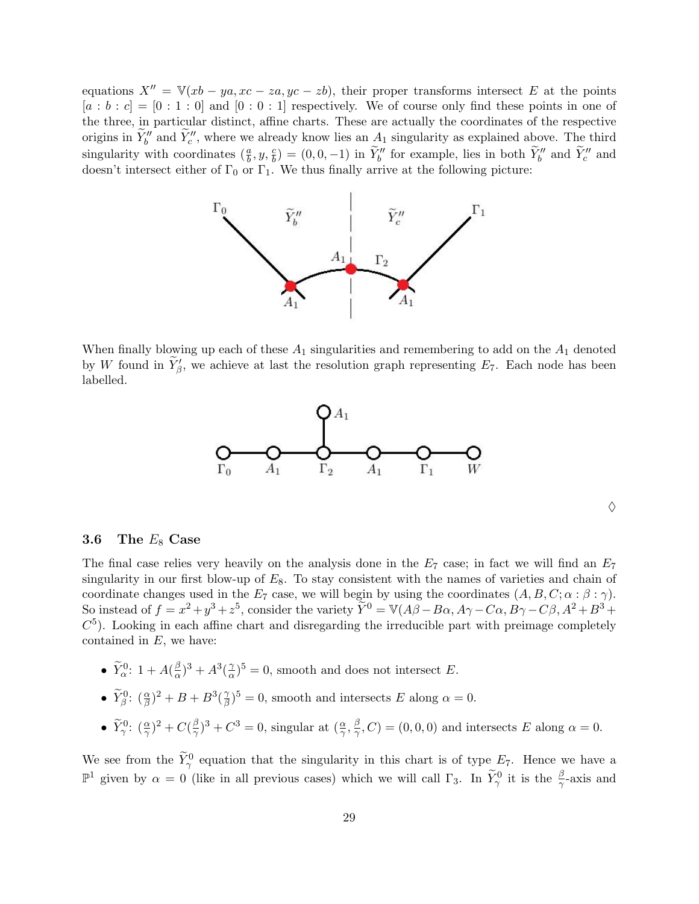equations  $X'' = \mathbb{V}(xb - ya, xc - za, yc - zb)$ , their proper transforms intersect E at the points  $[a:b:c] = [0:1:0]$  and  $[0:0:1]$  respectively. We of course only find these points in one of the three, in particular distinct, affine charts. These are actually the coordinates of the respective origins in  $\widetilde{Y}_b''$  and  $\widetilde{Y}_c''$ , where we already know lies an  $A_1$  singularity as explained above. The third singularity with coordinates  $(\frac{a}{b}, y, \frac{c}{b}) = (0, 0, -1)$  in  $\widetilde{Y}_b''$  for example, lies in both  $\widetilde{Y}_b''$  and  $\widetilde{Y}_c''$  and doesn't intersect either of  $\Gamma_0$  or  $\Gamma_1$ . We thus finally arrive at the following picture:



When finally blowing up each of these  $A_1$  singularities and remembering to add on the  $A_1$  denoted by W found in  $\widetilde{Y}'_{\beta}$ , we achieve at last the resolution graph representing  $E_7$ . Each node has been labelled.



#### $\Diamond$

## 3.6 The  $E_8$  Case

The final case relies very heavily on the analysis done in the  $E_7$  case; in fact we will find an  $E_7$ singularity in our first blow-up of  $E_8$ . To stay consistent with the names of varieties and chain of coordinate changes used in the  $E_7$  case, we will begin by using the coordinates  $(A, B, C; \alpha : \beta : \gamma)$ . So instead of  $f = x^2 + y^3 + z^5$ , consider the variety  $\widetilde{Y}^0 = V(A\beta - B\alpha, A\gamma - C\alpha, B\gamma - C\beta, A^2 + B^3 + C^5)$  $C<sup>5</sup>$ ). Looking in each affine chart and disregarding the irreducible part with preimage completely contained in  $E$ , we have:

- $\widetilde{Y}^0_{\alpha}$ : 1 +  $A(\frac{\beta}{\alpha})$  $(\frac{\beta}{\alpha})^3 + A^3(\frac{\gamma}{\alpha})$  $(\frac{\gamma}{\alpha})^5 = 0$ , smooth and does not intersect E.
- $\widetilde{Y}_{\beta}^0$ :  $(\frac{\alpha}{\beta})^2 + B + B^3(\frac{\gamma}{\beta})$  $(\frac{\gamma}{\beta})^5 = 0$ , smooth and intersects E along  $\alpha = 0$ .
- $\widetilde{Y}_{\gamma}^0$ :  $(\frac{\alpha}{\gamma})^2$  +  $C(\frac{\beta}{\gamma})$  $(\frac{\beta}{\gamma})^3 + C^3 = 0$ , singular at  $(\frac{\alpha}{\gamma}, \frac{\beta}{\gamma})$  $(\frac{\beta}{\gamma}, C) = (0, 0, 0)$  and intersects E along  $\alpha = 0$ .

We see from the  $\widetilde{Y}_{\gamma}^0$  equation that the singularity in this chart is of type  $E_7$ . Hence we have a  $\mathbb{P}^1$  given by  $\alpha = 0$  (like in all previous cases) which we will call  $\Gamma_3$ . In  $\widetilde{Y}^0_\gamma$  it is the  $\frac{\beta}{\gamma}$ -axis and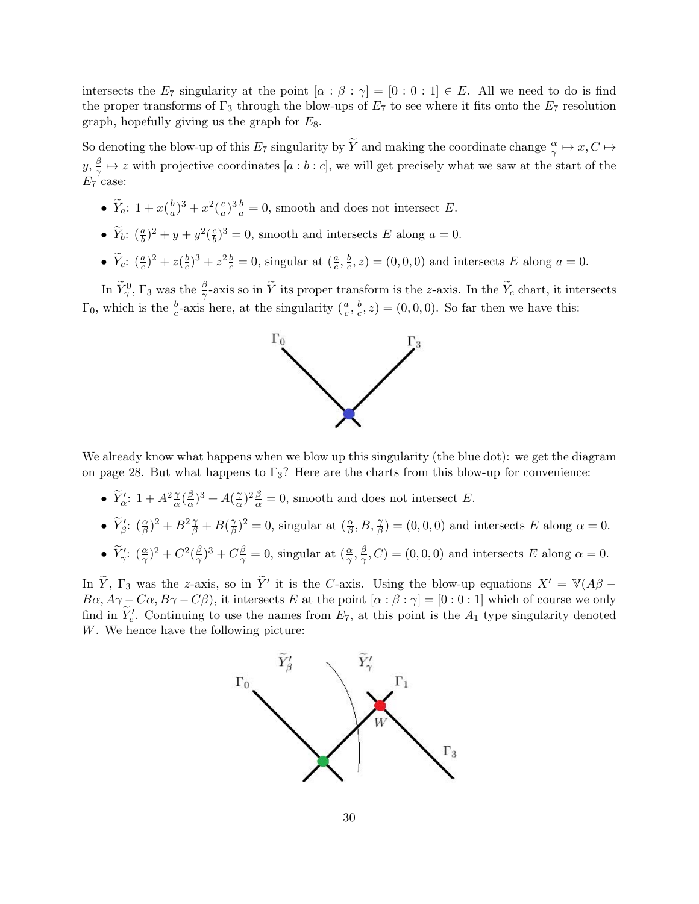intersects the  $E_7$  singularity at the point  $[\alpha : \beta : \gamma] = [0 : 0 : 1] \in E$ . All we need to do is find the proper transforms of  $\Gamma_3$  through the blow-ups of  $E_7$  to see where it fits onto the  $E_7$  resolution graph, hopefully giving us the graph for  $E_8$ .

So denoting the blow-up of this  $E_7$  singularity by  $\widetilde{Y}$  and making the coordinate change  $\frac{\alpha}{\gamma} \mapsto x, C \mapsto$  $y,\frac{\beta}{\gamma}$  $\frac{\beta}{\gamma} \mapsto z$  with projective coordinates  $[a:b:c]$ , we will get precisely what we saw at the start of the  $E_7$  case:

- $\widetilde{Y}_a$ :  $1 + x(\frac{b}{a})$  $\frac{b}{a}$ )<sup>3</sup> +  $x^2$ ( $\frac{c}{a}$  $\frac{c}{a}$ )<sup>3</sup> $\frac{b}{a}$  = 0, smooth and does not intersect E.
- $\widetilde{Y}_b$ :  $(\frac{a}{b})^2 + y + y^2(\frac{c}{b})$  $\frac{c}{b}$ )<sup>3</sup> = 0, smooth and intersects E along a = 0.
- $\widetilde{Y}_c$ :  $(\frac{a}{c})^2 + z(\frac{b}{c})$  $(\frac{b}{c})^3 + z^2 \frac{b}{c} = 0$ , singular at  $(\frac{a}{c}, \frac{b}{c})$  $(\frac{b}{c}, z) = (0, 0, 0)$  and intersects E along  $a = 0$ .

In  $\widetilde{Y}_{\gamma}^0$ ,  $\Gamma_3$  was the  $\frac{\beta}{\gamma}$ -axis so in  $\widetilde{Y}$  its proper transform is the z-axis. In the  $\widetilde{Y}_c$  chart, it intersects  $\Gamma_0$ , which is the  $\frac{b}{c}$ -axis here, at the singularity  $(\frac{a}{c}, \frac{b}{c})$  $(\frac{b}{c}, z) = (0, 0, 0)$ . So far then we have this:



We already know what happens when we blow up this singularity (the blue dot): we get the diagram on page 28. But what happens to  $\Gamma_3$ ? Here are the charts from this blow-up for convenience:

- $\widetilde{Y}'_{{\alpha}}$ : 1 +  $A^2\frac{\gamma}{{\alpha}}(\frac{\beta}{{\alpha}})$  $\frac{\beta}{\alpha})^3 + A(\frac{\gamma}{\alpha})$  $\frac{\gamma}{\alpha}$ )<sup>2</sup> $\frac{\beta}{\alpha}$  = 0, smooth and does not intersect E.
- $\widetilde{Y}_{\beta}^{\prime}$ :  $(\frac{\alpha}{\beta})^2 + B^2 \frac{\gamma}{\beta} + B(\frac{\gamma}{\beta})$  $(\frac{\gamma}{\beta})^2 = 0$ , singular at  $(\frac{\alpha}{\beta}, B, \frac{\gamma}{\beta}) = (0, 0, 0)$  and intersects E along  $\alpha = 0$ .
- $\widetilde{Y}'_\gamma$ :  $(\frac{\alpha}{\gamma})^2 + C^2(\frac{\beta}{\gamma})$  $(\frac{\beta}{\gamma})^3 + C \frac{\beta}{\gamma} = 0$ , singular at  $(\frac{\alpha}{\gamma}, \frac{\beta}{\gamma})$  $(\frac{\beta}{\gamma}, C) = (0, 0, 0)$  and intersects E along  $\alpha = 0$ .

In  $\tilde{Y}$ ,  $\Gamma_3$  was the z-axis, so in  $\tilde{Y}'$  it is the C-axis. Using the blow-up equations  $X' = \mathbb{V}(A\beta - \mathbb{I})$  $B\alpha$ ,  $A\gamma - C\alpha$ ,  $B\gamma - C\beta$ ), it intersects E at the point  $[\alpha : \beta : \gamma] = [0 : 0 : 1]$  which of course we only find in  $\widetilde{Y}'_c$ . Continuing to use the names from  $E_7$ , at this point is the  $A_1$  type singularity denoted W. We hence have the following picture:

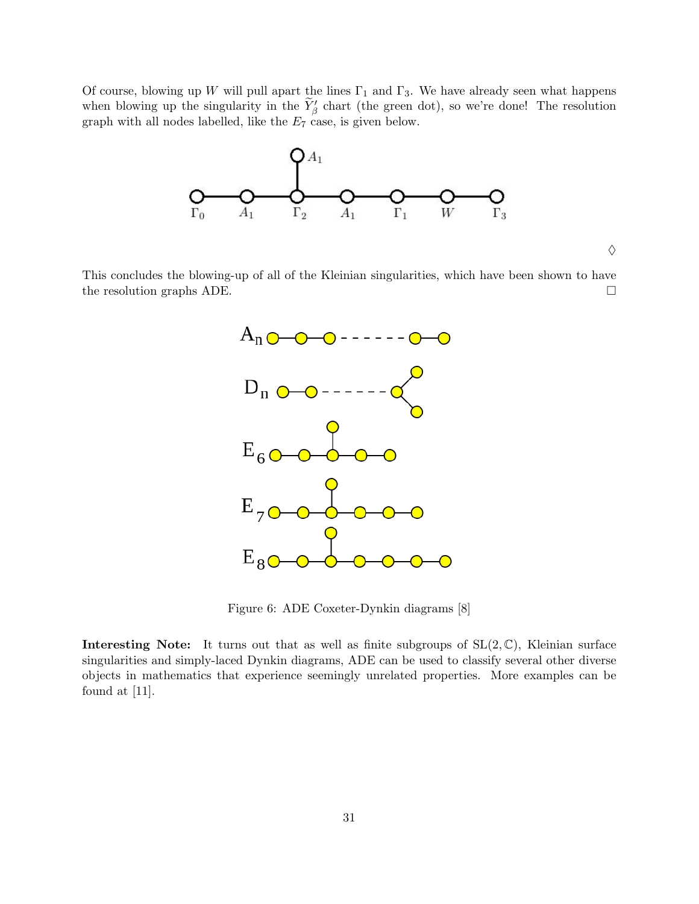Of course, blowing up W will pull apart the lines  $\Gamma_1$  and  $\Gamma_3$ . We have already seen what happens when blowing up the singularity in the  $\widetilde{Y}_{\beta}$  chart (the green dot), so we're done! The resolution graph with all nodes labelled, like the  $E_7$  case, is given below.



 $\diamondsuit$ 

This concludes the blowing-up of all of the Kleinian singularities, which have been shown to have the resolution graphs ADE.



Figure 6: ADE Coxeter-Dynkin diagrams [8]

**Interesting Note:** It turns out that as well as finite subgroups of  $SL(2,\mathbb{C})$ , Kleinian surface singularities and simply-laced Dynkin diagrams, ADE can be used to classify several other diverse objects in mathematics that experience seemingly unrelated properties. More examples can be found at [11].